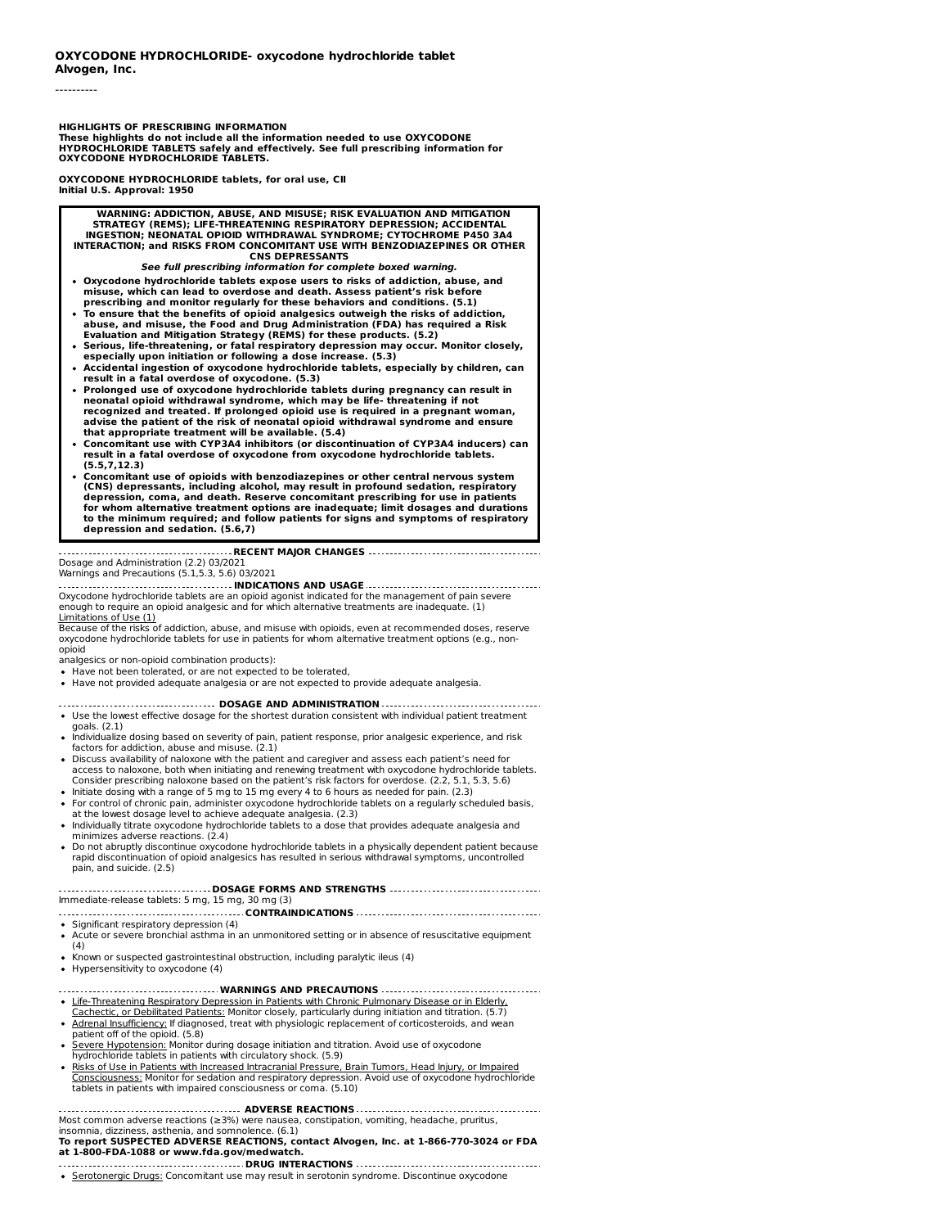----------

#### **HIGHLIGHTS OF PRESCRIBING INFORMATION**

These highlights do not include all the information needed to use OXYCODONE<br>HYDROCHLORIDE TABLETS safely and effectively. See full prescribing information for **OXYCODONE HYDROCHLORIDE TABLETS.**

**OXYCODONE HYDROCHLORIDE tablets, for oral use, CII Initial U.S. Approval: 1950**

**WARNING: ADDICTION, ABUSE, AND MISUSE; RISK EVALUATION AND MITIGATION** STRATEGY (REMS); LIFE-THREATENING RESPIRATORY DEPRESSION; ACCIDENTAL<br>INGESTION; NEONATAL OPIOID WITHDRAWAL SYNDROME; CYTOCHROME P450 3A4 **INTERACTION; and RISKS FROM CONCOMITANT USE WITH BENZODIAZEPINES OR OTHER CNS DEPRESSANTS**

**See full prescribing information for complete boxed warning.**

- **Oxycodone hydrochloride tablets expose users to risks of addiction, abuse, and misuse, which can lead to overdose and death. Assess patient's risk before prescribing and monitor regularly for these behaviors and conditions. (5.1)**
- To ensure that the benefits of opioid analgesics outweigh the risks of addiction,<br>abuse, and misuse, the Food and Drug Administration (FDA) has required a Risk **Evaluation and Mitigation Strategy (REMS) for these products. (5.2)**
- Serious, life-threatening, or fatal respiratory depression may occur. Monitor closely,<br>especially upon initiation or following a dose increase. (5.3)
- **Accidental ingestion of oxycodone hydrochloride tablets, especially by children, can**
- result in a fatal overdose of oxycodone. (5.3)<br>Prolonged use of oxycodone hydrochloride tablets during pregnancy can result in<br>neonatal opioid withdrawal syndrome, which may be life- threatening if not recognized and treated. If prolonged opioid use is required in a pregnant woman,<br>advise the patient of the risk of neonatal opioid withdrawal syndrome and ensure **that appropriate treatment will be available. (5.4)**
- Concomitant use with CYP3A4 inhibitors (or discontinuation of CYP3A4 inducers) can<br>result in a fatal overdose of oxycodone from oxycodone hydrochloride tablets. **(5.5,7,12.3)**
- Concomitant use of opioids with benzodiazepines or other central nervous system<br>(CNS) depressants, including alcohol, may result in profound sedation, respiratory **depression, coma, and death. Reserve concomitant prescribing for use in patients for whom alternative treatment options are inadequate; limit dosages and durations to the minimum required; and follow patients for signs and symptoms of respiratory depression and sedation. (5.6,7)**

**RECENT MAJOR CHANGES** Dosage and Administration (2.2) 03/2021 Warnings and Precautions (5.1,5.3, 5.6) 03/2021

**INDICATIONS AND USAGE** Oxycodone hydrochloride tablets are an opioid agonist indicated for the management of pain severe enough to require an opioid analgesic and for which alternative treatments are inadequate. (1) Limitations of Use (1)

Because of the risks of addiction, abuse, and misuse with opioids, even at recommended doses, reserve oxycodone hydrochloride tablets for use in patients for whom alternative treatment options (e.g., nonopioid

analgesics or non-opioid combination products):

- Have not been tolerated, or are not expected to be tolerated,
- Have not provided adequate analgesia or are not expected to provide adequate analgesia.
- **DOSAGE AND ADMINISTRATION**
- Use the lowest effective dosage for the shortest duration consistent with individual patient treatment goals. (2.1)
- Individualize dosing based on severity of pain, patient response, prior analgesic experience, and risk factors for addiction, abuse and misuse. (2.1)
- Discuss availability of naloxone with the patient and caregiver and assess each patient's need for access to naloxone, both when initiating and renewing treatment with oxycodone hydrochloride tablets. Consider prescribing naloxone based on the patient's risk factors for overdose. (2.2, 5.1, 5.3, 5.6)
- Initiate dosing with a range of 5 mg to 15 mg every 4 to 6 hours as needed for pain. (2.3)
- For control of chronic pain, administer oxycodone hydrochloride tablets on a regularly scheduled basis, at the lowest dosage level to achieve adequate analgesia. (2.3)
- Individually titrate oxycodone hydrochloride tablets to a dose that provides adequate analgesia and minimizes adverse reactions. (2.4)
- Do not abruptly discontinue oxycodone hydrochloride tablets in a physically dependent patient because rapid discontinuation of opioid analgesics has resulted in serious withdrawal symptoms, uncontrolled pain, and suicide. (2.5)

**DOSAGE FORMS AND STRENGTHS** Immediate-release tablets: 5 mg, 15 mg, 30 mg (3) **CONTRAINDICATIONS**

- Significant respiratory depression (4)
- 
- Acute or severe bronchial asthma in an unmonitored setting or in absence of resuscitative equipment (4)
- Known or suspected gastrointestinal obstruction, including paralytic ileus (4) Hypersensitivity to oxycodone (4)
- **WARNINGS AND PRECAUTIONS**
- Life-Threatening Respiratory Depression in Patients with Chronic Pulmonary Disease or in Elderly, Cachectic, or Debilitated Patients: Monitor closely, particularly during initiation and titration. (5.7)
- Adrenal Insufficiency: If diagnosed, treat with physiologic replacement of corticosteroids, and wean
- patient off of the opioid. (5.8)
- Severe Hypotension: Monitor during dosage initiation and titration. Avoid use of oxycodone hydrochloride tablets in patients with circulatory shock. (5.9)
- . Risks of Use in Patients with Increased Intracranial Pressure, Brain Tumors, Head Injury, or Impaired Consciousness: Monitor for sedation and respiratory depression. Avoid use of oxycodone hydrochloride tablets in patients with impaired consciousness or coma. (5.10)

#### **ADVERSE REACTIONS**

Most common adverse reactions (≥3%) were nausea, constipation, vomiting, headache, pruritus, insomnia, dizziness, asthenia, and somnolence. (6.1)

#### **To report SUSPECTED ADVERSE REACTIONS, contact Alvogen, Inc. at 1-866-770-3024 or FDA at 1-800-FDA-1088 or www.fda.gov/medwatch.**

- **DRUG INTERACTIONS**
- Serotonergic Drugs: Concomitant use may result in serotonin syndrome. Discontinue oxycodone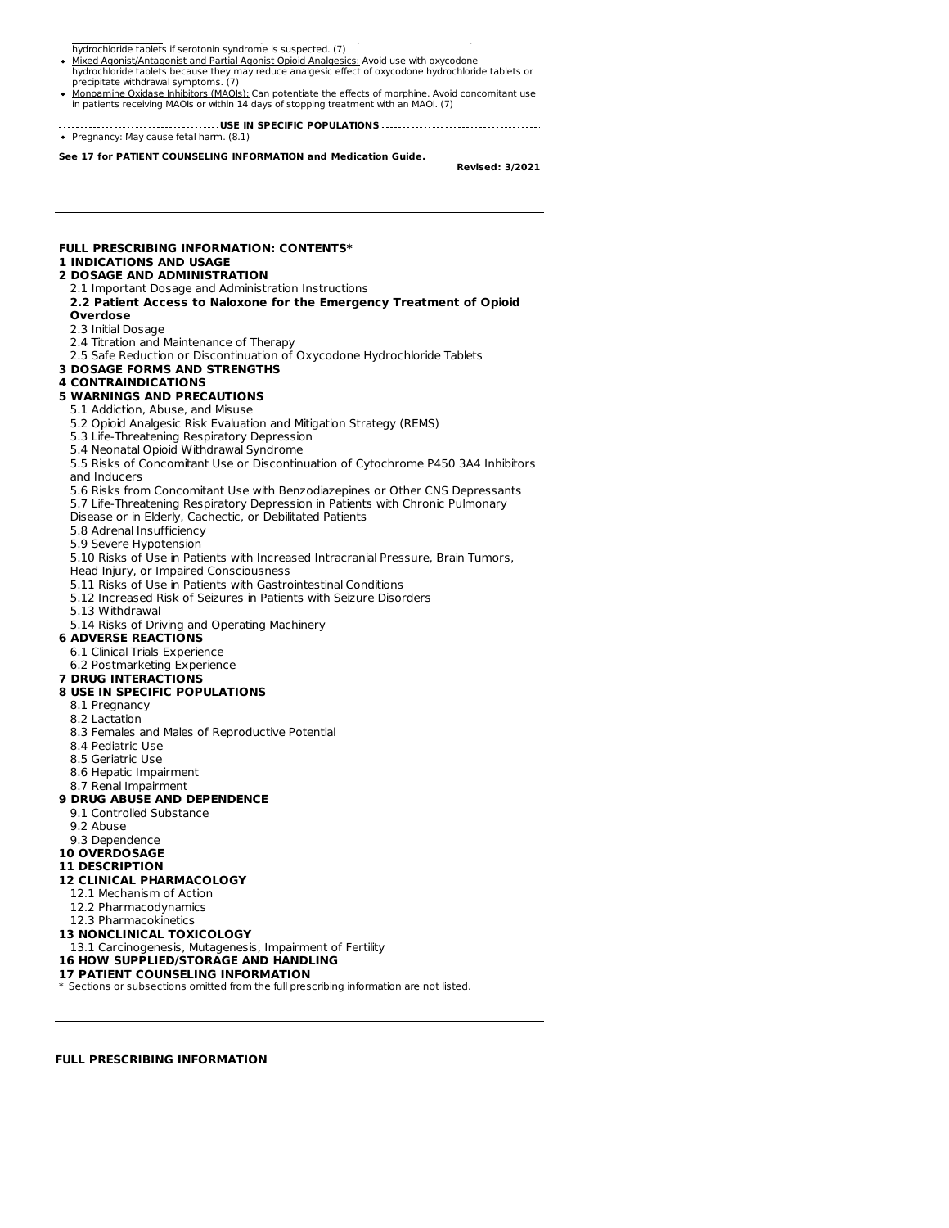mydrochloride tablets if serotonin syndrome is suspected. (7)

- Mixed Agonist/Antagonist and Partial Agonist Opioid Analgesics: Avoid use with oxycodone hydrochloride tablets because they may reduce analgesic effect of oxycodone hydrochloride tablets or precipitate withdrawal symptoms. (7)
- Monoamine Oxidase Inhibitors (MAOIs): Can potentiate the effects of morphine. Avoid concomitant use in patients receiving MAOIs or within 14 days of stopping treatment with an MAOI. (7)

**USE IN SPECIFIC POPULATIONS**

• Pregnancy: May cause fetal harm. (8.1)

**See 17 for PATIENT COUNSELING INFORMATION and Medication Guide.**

**Revised: 3/2021**

### **FULL PRESCRIBING INFORMATION: CONTENTS\* 1 INDICATIONS AND USAGE**

# **2 DOSAGE AND ADMINISTRATION**

- 2.1 Important Dosage and Administration Instructions
- **2.2 Patient Access to Naloxone for the Emergency Treatment of Opioid**

# **Overdose**

- 2.3 Initial Dosage
- 2.4 Titration and Maintenance of Therapy
- 2.5 Safe Reduction or Discontinuation of Oxycodone Hydrochloride Tablets

# **3 DOSAGE FORMS AND STRENGTHS**

# **4 CONTRAINDICATIONS**

# **5 WARNINGS AND PRECAUTIONS**

- 5.1 Addiction, Abuse, and Misuse
- 5.2 Opioid Analgesic Risk Evaluation and Mitigation Strategy (REMS)
- 5.3 Life-Threatening Respiratory Depression
- 5.4 Neonatal Opioid Withdrawal Syndrome
- 5.5 Risks of Concomitant Use or Discontinuation of Cytochrome P450 3A4 Inhibitors
- and Inducers
- 5.6 Risks from Concomitant Use with Benzodiazepines or Other CNS Depressants
- 5.7 Life-Threatening Respiratory Depression in Patients with Chronic Pulmonary
- Disease or in Elderly, Cachectic, or Debilitated Patients
- 5.8 Adrenal Insufficiency
- 5.9 Severe Hypotension
- 5.10 Risks of Use in Patients with Increased Intracranial Pressure, Brain Tumors,
- Head Injury, or Impaired Consciousness
- 5.11 Risks of Use in Patients with Gastrointestinal Conditions
- 5.12 Increased Risk of Seizures in Patients with Seizure Disorders
- 5.13 Withdrawal
- 5.14 Risks of Driving and Operating Machinery
- **6 ADVERSE REACTIONS**
- 6.1 Clinical Trials Experience
- 6.2 Postmarketing Experience
- **7 DRUG INTERACTIONS**

# **8 USE IN SPECIFIC POPULATIONS**

- 8.1 Pregnancy
- 8.2 Lactation
- 8.3 Females and Males of Reproductive Potential
- 8.4 Pediatric Use
- 8.5 Geriatric Use
- 8.6 Hepatic Impairment
- 8.7 Renal Impairment

### **9 DRUG ABUSE AND DEPENDENCE**

- 9.1 Controlled Substance
- 9.2 Abuse
- 9.3 Dependence
- **10 OVERDOSAGE**

#### **11 DESCRIPTION**

- **12 CLINICAL PHARMACOLOGY**
- 12.1 Mechanism of Action
- 12.2 Pharmacodynamics
- 12.3 Pharmacokinetics

# **13 NONCLINICAL TOXICOLOGY**

- 13.1 Carcinogenesis, Mutagenesis, Impairment of Fertility
- **16 HOW SUPPLIED/STORAGE AND HANDLING**

### **17 PATIENT COUNSELING INFORMATION**

 $\ast$  Sections or subsections omitted from the full prescribing information are not listed.

**FULL PRESCRIBING INFORMATION**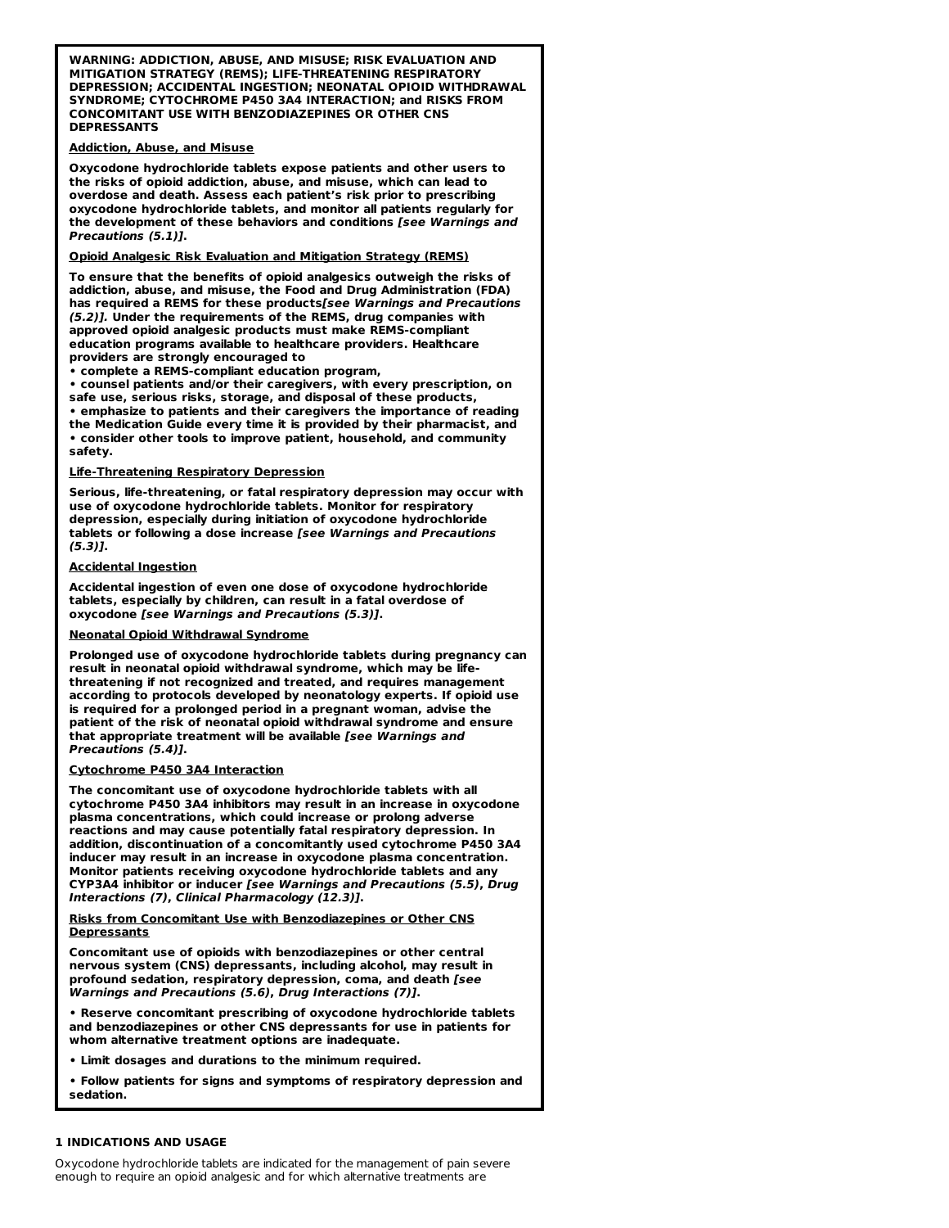**WARNING: ADDICTION, ABUSE, AND MISUSE; RISK EVALUATION AND MITIGATION STRATEGY (REMS); LIFE-THREATENING RESPIRATORY DEPRESSION; ACCIDENTAL INGESTION; NEONATAL OPIOID WITHDRAWAL SYNDROME; CYTOCHROME P450 3A4 INTERACTION; and RISKS FROM CONCOMITANT USE WITH BENZODIAZEPINES OR OTHER CNS DEPRESSANTS**

### **Addiction, Abuse, and Misuse**

**Oxycodone hydrochloride tablets expose patients and other users to the risks of opioid addiction, abuse, and misuse, which can lead to overdose and death. Assess each patient's risk prior to prescribing oxycodone hydrochloride tablets, and monitor all patients regularly for the development of these behaviors and conditions [see Warnings and Precautions (5.1)].**

### **Opioid Analgesic Risk Evaluation and Mitigation Strategy (REMS)**

**To ensure that the benefits of opioid analgesics outweigh the risks of addiction, abuse, and misuse, the Food and Drug Administration (FDA) has required a REMS for these products[see Warnings and Precautions (5.2)]. Under the requirements of the REMS, drug companies with approved opioid analgesic products must make REMS-compliant education programs available to healthcare providers. Healthcare providers are strongly encouraged to**

**• complete a REMS-compliant education program,**

**• counsel patients and/or their caregivers, with every prescription, on safe use, serious risks, storage, and disposal of these products, • emphasize to patients and their caregivers the importance of reading the Medication Guide every time it is provided by their pharmacist, and • consider other tools to improve patient, household, and community safety.**

# **Life-Threatening Respiratory Depression**

**Serious, life-threatening, or fatal respiratory depression may occur with use of oxycodone hydrochloride tablets. Monitor for respiratory depression, especially during initiation of oxycodone hydrochloride tablets or following a dose increase [see Warnings and Precautions (5.3)].**

# **Accidental Ingestion**

**Accidental ingestion of even one dose of oxycodone hydrochloride tablets, especially by children, can result in a fatal overdose of oxycodone [see Warnings and Precautions (5.3)].**

# **Neonatal Opioid Withdrawal Syndrome**

**Prolonged use of oxycodone hydrochloride tablets during pregnancy can result in neonatal opioid withdrawal syndrome, which may be lifethreatening if not recognized and treated, and requires management according to protocols developed by neonatology experts. If opioid use is required for a prolonged period in a pregnant woman, advise the patient of the risk of neonatal opioid withdrawal syndrome and ensure that appropriate treatment will be available [see Warnings and Precautions (5.4)].**

# **Cytochrome P450 3A4 Interaction**

**The concomitant use of oxycodone hydrochloride tablets with all cytochrome P450 3A4 inhibitors may result in an increase in oxycodone plasma concentrations, which could increase or prolong adverse reactions and may cause potentially fatal respiratory depression. In addition, discontinuation of a concomitantly used cytochrome P450 3A4 inducer may result in an increase in oxycodone plasma concentration. Monitor patients receiving oxycodone hydrochloride tablets and any CYP3A4 inhibitor or inducer [see Warnings and Precautions (5.5), Drug Interactions (7), Clinical Pharmacology (12.3)].**

# **Risks from Concomitant Use with Benzodiazepines or Other CNS Depressants**

**Concomitant use of opioids with benzodiazepines or other central nervous system (CNS) depressants, including alcohol, may result in profound sedation, respiratory depression, coma, and death [see Warnings and Precautions (5.6), Drug Interactions (7)].**

**• Reserve concomitant prescribing of oxycodone hydrochloride tablets and benzodiazepines or other CNS depressants for use in patients for whom alternative treatment options are inadequate.**

**• Limit dosages and durations to the minimum required.**

**• Follow patients for signs and symptoms of respiratory depression and sedation.**

# **1 INDICATIONS AND USAGE**

Oxycodone hydrochloride tablets are indicated for the management of pain severe enough to require an opioid analgesic and for which alternative treatments are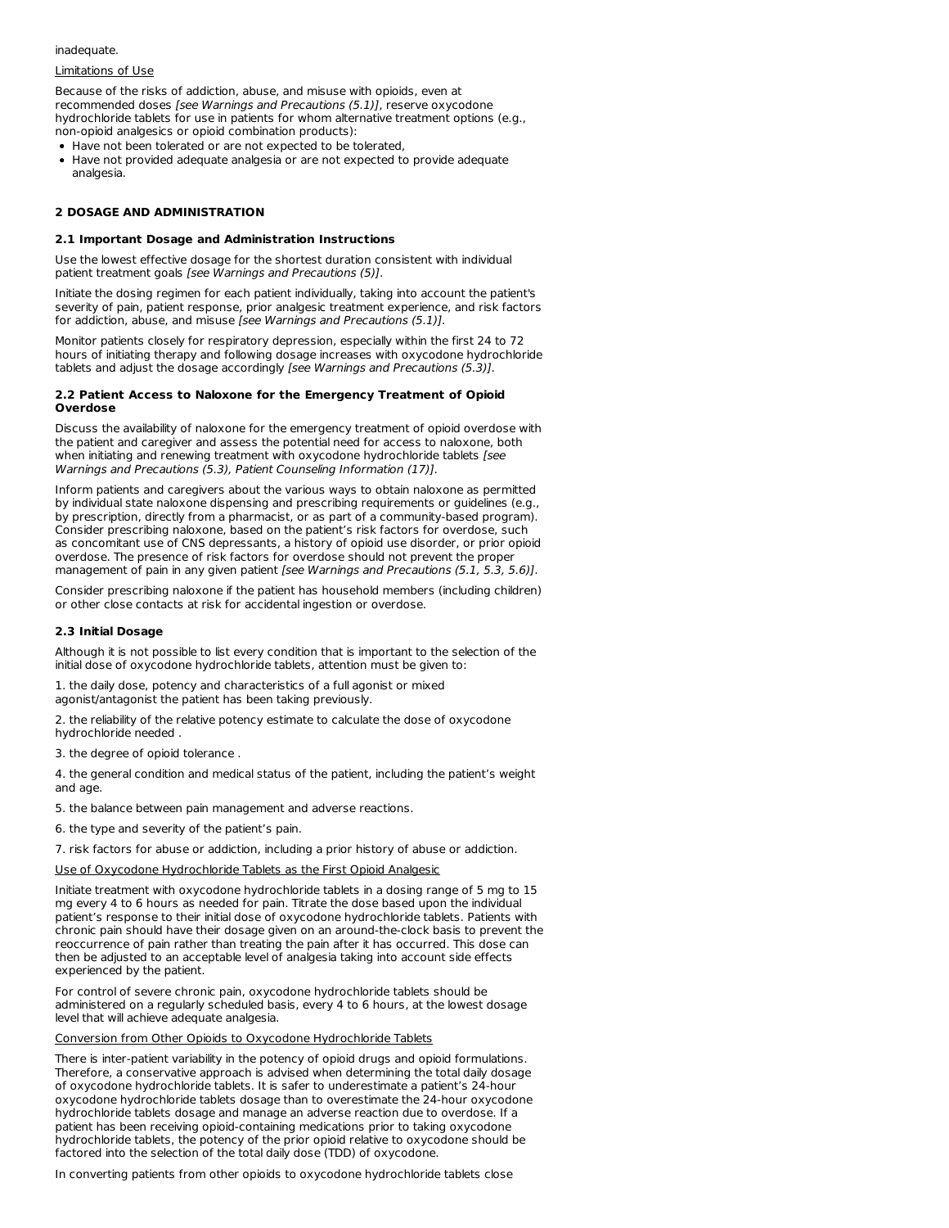#### inadequate.

### Limitations of Use

Because of the risks of addiction, abuse, and misuse with opioids, even at recommended doses [see Warnings and Precautions (5.1)], reserve oxycodone hydrochloride tablets for use in patients for whom alternative treatment options (e.g., non-opioid analgesics or opioid combination products):

- Have not been tolerated or are not expected to be tolerated,
- Have not provided adequate analgesia or are not expected to provide adequate analgesia.

### **2 DOSAGE AND ADMINISTRATION**

### **2.1 Important Dosage and Administration Instructions**

Use the lowest effective dosage for the shortest duration consistent with individual patient treatment goals [see Warnings and Precautions (5)].

Initiate the dosing regimen for each patient individually, taking into account the patient's severity of pain, patient response, prior analgesic treatment experience, and risk factors for addiction, abuse, and misuse [see Warnings and Precautions (5.1)].

Monitor patients closely for respiratory depression, especially within the first 24 to 72 hours of initiating therapy and following dosage increases with oxycodone hydrochloride tablets and adjust the dosage accordingly [see Warnings and Precautions (5.3)].

# **2.2 Patient Access to Naloxone for the Emergency Treatment of Opioid Overdose**

Discuss the availability of naloxone for the emergency treatment of opioid overdose with the patient and caregiver and assess the potential need for access to naloxone, both when initiating and renewing treatment with oxycodone hydrochloride tablets [see Warnings and Precautions (5.3), Patient Counseling Information (17)].

Inform patients and caregivers about the various ways to obtain naloxone as permitted by individual state naloxone dispensing and prescribing requirements or guidelines (e.g., by prescription, directly from a pharmacist, or as part of a community-based program). Consider prescribing naloxone, based on the patient's risk factors for overdose, such as concomitant use of CNS depressants, a history of opioid use disorder, or prior opioid overdose. The presence of risk factors for overdose should not prevent the proper management of pain in any given patient [see Warnings and Precautions (5.1, 5.3, 5.6)].

Consider prescribing naloxone if the patient has household members (including children) or other close contacts at risk for accidental ingestion or overdose.

# **2.3 Initial Dosage**

Although it is not possible to list every condition that is important to the selection of the initial dose of oxycodone hydrochloride tablets, attention must be given to:

1. the daily dose, potency and characteristics of a full agonist or mixed agonist/antagonist the patient has been taking previously.

2. the reliability of the relative potency estimate to calculate the dose of oxycodone hydrochloride needed .

3. the degree of opioid tolerance .

4. the general condition and medical status of the patient, including the patient's weight and age.

5. the balance between pain management and adverse reactions.

6. the type and severity of the patient's pain.

7. risk factors for abuse or addiction, including a prior history of abuse or addiction.

Use of Oxycodone Hydrochloride Tablets as the First Opioid Analgesic

Initiate treatment with oxycodone hydrochloride tablets in a dosing range of 5 mg to 15 mg every 4 to 6 hours as needed for pain. Titrate the dose based upon the individual patient's response to their initial dose of oxycodone hydrochloride tablets. Patients with chronic pain should have their dosage given on an around-the-clock basis to prevent the reoccurrence of pain rather than treating the pain after it has occurred. This dose can then be adjusted to an acceptable level of analgesia taking into account side effects experienced by the patient.

For control of severe chronic pain, oxycodone hydrochloride tablets should be administered on a regularly scheduled basis, every 4 to 6 hours, at the lowest dosage level that will achieve adequate analgesia.

### ion from Other Opioids to Oxycodone Hydrochloride Tablets

There is inter-patient variability in the potency of opioid drugs and opioid formulations. Therefore, a conservative approach is advised when determining the total daily dosage of oxycodone hydrochloride tablets. It is safer to underestimate a patient's 24-hour oxycodone hydrochloride tablets dosage than to overestimate the 24-hour oxycodone hydrochloride tablets dosage and manage an adverse reaction due to overdose. If a patient has been receiving opioid-containing medications prior to taking oxycodone hydrochloride tablets, the potency of the prior opioid relative to oxycodone should be factored into the selection of the total daily dose (TDD) of oxycodone.

In converting patients from other opioids to oxycodone hydrochloride tablets close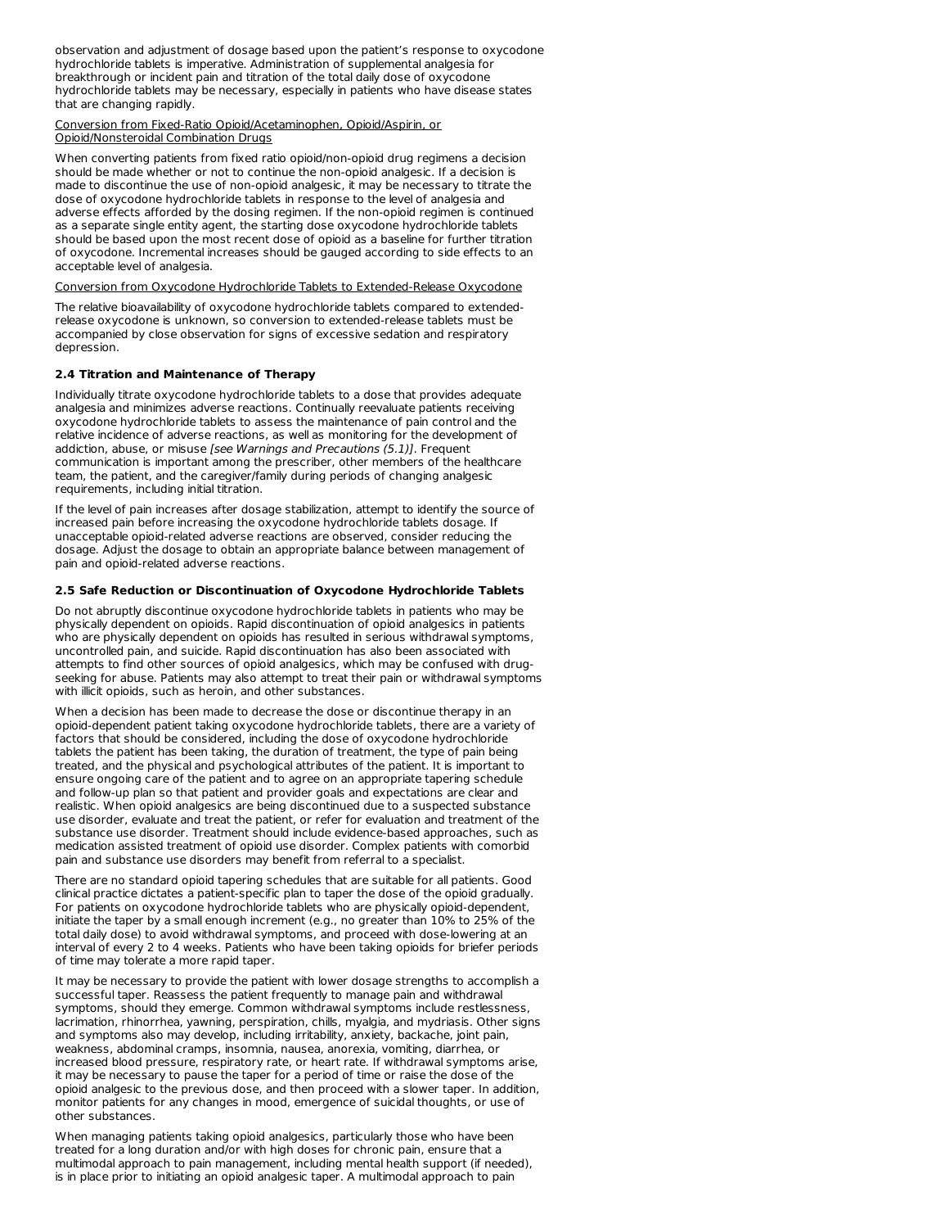observation and adjustment of dosage based upon the patient's response to oxycodone hydrochloride tablets is imperative. Administration of supplemental analgesia for breakthrough or incident pain and titration of the total daily dose of oxycodone hydrochloride tablets may be necessary, especially in patients who have disease states that are changing rapidly.

Conversion from Fixed-Ratio Opioid/Acetaminophen, Opioid/Aspirin, or Opioid/Nonsteroidal Combination Drugs

When converting patients from fixed ratio opioid/non-opioid drug regimens a decision should be made whether or not to continue the non-opioid analgesic. If a decision is made to discontinue the use of non-opioid analgesic, it may be necessary to titrate the dose of oxycodone hydrochloride tablets in response to the level of analgesia and adverse effects afforded by the dosing regimen. If the non-opioid regimen is continued as a separate single entity agent, the starting dose oxycodone hydrochloride tablets should be based upon the most recent dose of opioid as a baseline for further titration of oxycodone. Incremental increases should be gauged according to side effects to an acceptable level of analgesia.

Conversion from Oxycodone Hydrochloride Tablets to Extended-Release Oxycodone

The relative bioavailability of oxycodone hydrochloride tablets compared to extendedrelease oxycodone is unknown, so conversion to extended-release tablets must be accompanied by close observation for signs of excessive sedation and respiratory depression.

# **2.4 Titration and Maintenance of Therapy**

Individually titrate oxycodone hydrochloride tablets to a dose that provides adequate analgesia and minimizes adverse reactions. Continually reevaluate patients receiving oxycodone hydrochloride tablets to assess the maintenance of pain control and the relative incidence of adverse reactions, as well as monitoring for the development of addiction, abuse, or misuse [see Warnings and Precautions (5.1)]. Frequent communication is important among the prescriber, other members of the healthcare team, the patient, and the caregiver/family during periods of changing analgesic requirements, including initial titration.

If the level of pain increases after dosage stabilization, attempt to identify the source of increased pain before increasing the oxycodone hydrochloride tablets dosage. If unacceptable opioid-related adverse reactions are observed, consider reducing the dosage. Adjust the dosage to obtain an appropriate balance between management of pain and opioid-related adverse reactions.

# **2.5 Safe Reduction or Discontinuation of Oxycodone Hydrochloride Tablets**

Do not abruptly discontinue oxycodone hydrochloride tablets in patients who may be physically dependent on opioids. Rapid discontinuation of opioid analgesics in patients who are physically dependent on opioids has resulted in serious withdrawal symptoms, uncontrolled pain, and suicide. Rapid discontinuation has also been associated with attempts to find other sources of opioid analgesics, which may be confused with drugseeking for abuse. Patients may also attempt to treat their pain or withdrawal symptoms with illicit opioids, such as heroin, and other substances.

When a decision has been made to decrease the dose or discontinue therapy in an opioid-dependent patient taking oxycodone hydrochloride tablets, there are a variety of factors that should be considered, including the dose of oxycodone hydrochloride tablets the patient has been taking, the duration of treatment, the type of pain being treated, and the physical and psychological attributes of the patient. It is important to ensure ongoing care of the patient and to agree on an appropriate tapering schedule and follow-up plan so that patient and provider goals and expectations are clear and realistic. When opioid analgesics are being discontinued due to a suspected substance use disorder, evaluate and treat the patient, or refer for evaluation and treatment of the substance use disorder. Treatment should include evidence-based approaches, such as medication assisted treatment of opioid use disorder. Complex patients with comorbid pain and substance use disorders may benefit from referral to a specialist.

There are no standard opioid tapering schedules that are suitable for all patients. Good clinical practice dictates a patient-specific plan to taper the dose of the opioid gradually. For patients on oxycodone hydrochloride tablets who are physically opioid-dependent, initiate the taper by a small enough increment (e.g., no greater than 10% to 25% of the total daily dose) to avoid withdrawal symptoms, and proceed with dose-lowering at an interval of every 2 to 4 weeks. Patients who have been taking opioids for briefer periods of time may tolerate a more rapid taper.

It may be necessary to provide the patient with lower dosage strengths to accomplish a successful taper. Reassess the patient frequently to manage pain and withdrawal symptoms, should they emerge. Common withdrawal symptoms include restlessness, lacrimation, rhinorrhea, yawning, perspiration, chills, myalgia, and mydriasis. Other signs and symptoms also may develop, including irritability, anxiety, backache, joint pain, weakness, abdominal cramps, insomnia, nausea, anorexia, vomiting, diarrhea, or increased blood pressure, respiratory rate, or heart rate. If withdrawal symptoms arise, it may be necessary to pause the taper for a period of time or raise the dose of the opioid analgesic to the previous dose, and then proceed with a slower taper. In addition, monitor patients for any changes in mood, emergence of suicidal thoughts, or use of other substances.

When managing patients taking opioid analgesics, particularly those who have been treated for a long duration and/or with high doses for chronic pain, ensure that a multimodal approach to pain management, including mental health support (if needed), is in place prior to initiating an opioid analgesic taper. A multimodal approach to pain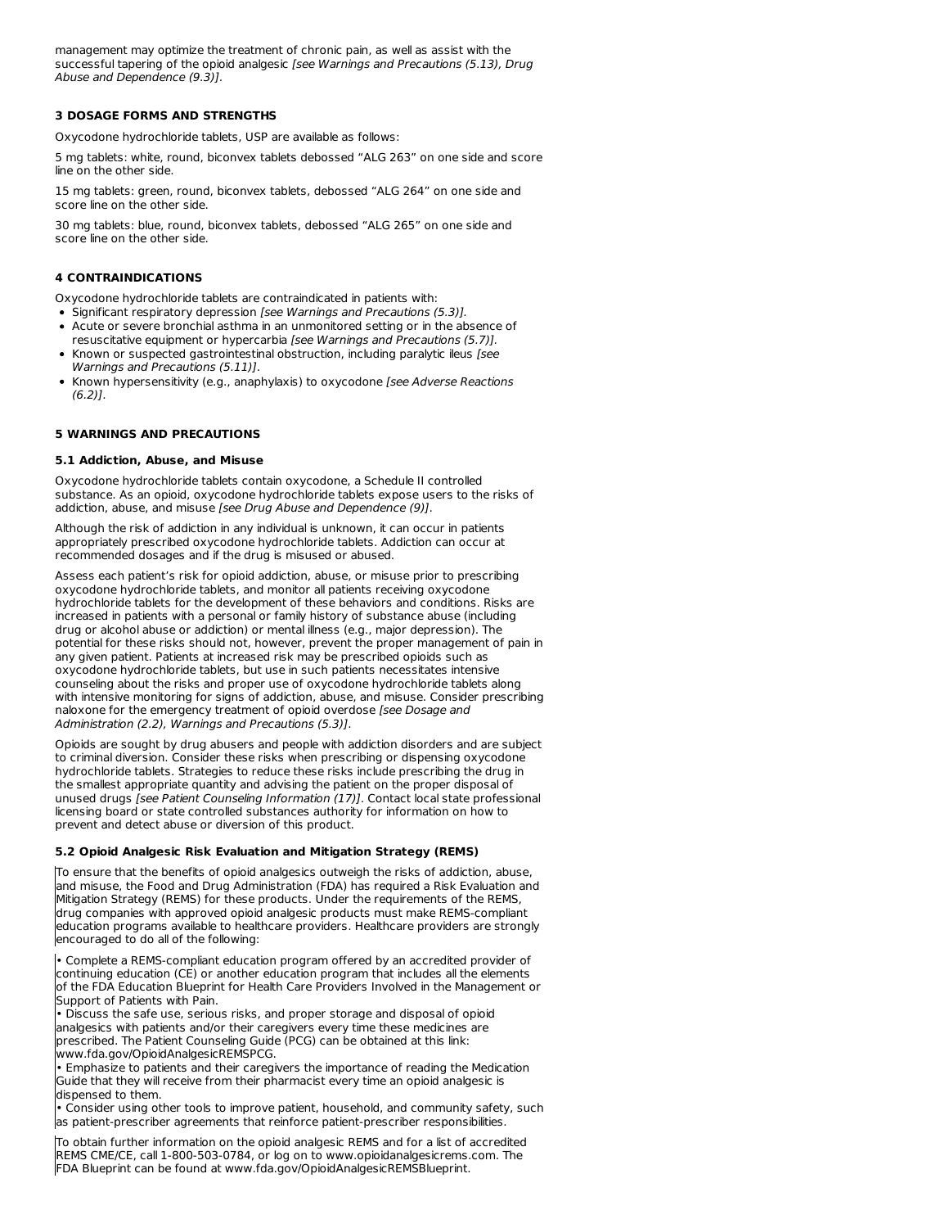management may optimize the treatment of chronic pain, as well as assist with the successful tapering of the opioid analgesic [see Warnings and Precautions (5.13), Drug Abuse and Dependence (9.3)].

# **3 DOSAGE FORMS AND STRENGTHS**

Oxycodone hydrochloride tablets, USP are available as follows:

5 mg tablets: white, round, biconvex tablets debossed "ALG 263" on one side and score line on the other side.

15 mg tablets: green, round, biconvex tablets, debossed "ALG 264" on one side and score line on the other side.

30 mg tablets: blue, round, biconvex tablets, debossed "ALG 265" on one side and score line on the other side.

# **4 CONTRAINDICATIONS**

Oxycodone hydrochloride tablets are contraindicated in patients with:

- Significant respiratory depression [see Warnings and Precautions (5.3)].
- Acute or severe bronchial asthma in an unmonitored setting or in the absence of resuscitative equipment or hypercarbia [see Warnings and Precautions (5.7)].
- Known or suspected gastrointestinal obstruction, including paralytic ileus [see Warnings and Precautions (5.11)].
- Known hypersensitivity (e.g., anaphylaxis) to oxycodone [see Adverse Reactions  $(6.2)$ ].

# **5 WARNINGS AND PRECAUTIONS**

# **5.1 Addiction, Abuse, and Misuse**

Oxycodone hydrochloride tablets contain oxycodone, a Schedule II controlled substance. As an opioid, oxycodone hydrochloride tablets expose users to the risks of addiction, abuse, and misuse [see Drug Abuse and Dependence (9)].

Although the risk of addiction in any individual is unknown, it can occur in patients appropriately prescribed oxycodone hydrochloride tablets. Addiction can occur at recommended dosages and if the drug is misused or abused.

Assess each patient's risk for opioid addiction, abuse, or misuse prior to prescribing oxycodone hydrochloride tablets, and monitor all patients receiving oxycodone hydrochloride tablets for the development of these behaviors and conditions. Risks are increased in patients with a personal or family history of substance abuse (including drug or alcohol abuse or addiction) or mental illness (e.g., major depression). The potential for these risks should not, however, prevent the proper management of pain in any given patient. Patients at increased risk may be prescribed opioids such as oxycodone hydrochloride tablets, but use in such patients necessitates intensive counseling about the risks and proper use of oxycodone hydrochloride tablets along with intensive monitoring for signs of addiction, abuse, and misuse. Consider prescribing naloxone for the emergency treatment of opioid overdose [see Dosage and Administration (2.2), Warnings and Precautions (5.3)].

Opioids are sought by drug abusers and people with addiction disorders and are subject to criminal diversion. Consider these risks when prescribing or dispensing oxycodone hydrochloride tablets. Strategies to reduce these risks include prescribing the drug in the smallest appropriate quantity and advising the patient on the proper disposal of unused drugs [see Patient Counseling Information (17)]. Contact local state professional licensing board or state controlled substances authority for information on how to prevent and detect abuse or diversion of this product.

# **5.2 Opioid Analgesic Risk Evaluation and Mitigation Strategy (REMS)**

To ensure that the benefits of opioid analgesics outweigh the risks of addiction, abuse, and misuse, the Food and Drug Administration (FDA) has required a Risk Evaluation and Mitigation Strategy (REMS) for these products. Under the requirements of the REMS, drug companies with approved opioid analgesic products must make REMS-compliant education programs available to healthcare providers. Healthcare providers are strongly encouraged to do all of the following:

• Complete a REMS-compliant education program offered by an accredited provider of continuing education (CE) or another education program that includes all the elements of the FDA Education Blueprint for Health Care Providers Involved in the Management or Support of Patients with Pain.

• Discuss the safe use, serious risks, and proper storage and disposal of opioid analgesics with patients and/or their caregivers every time these medicines are prescribed. The Patient Counseling Guide (PCG) can be obtained at this link: www.fda.gov/OpioidAnalgesicREMSPCG.

• Emphasize to patients and their caregivers the importance of reading the Medication Guide that they will receive from their pharmacist every time an opioid analgesic is dispensed to them.

• Consider using other tools to improve patient, household, and community safety, such as patient-prescriber agreements that reinforce patient-prescriber responsibilities.

To obtain further information on the opioid analgesic REMS and for a list of accredited REMS CME/CE, call 1-800-503-0784, or log on to www.opioidanalgesicrems.com. The FDA Blueprint can be found at www.fda.gov/OpioidAnalgesicREMSBlueprint.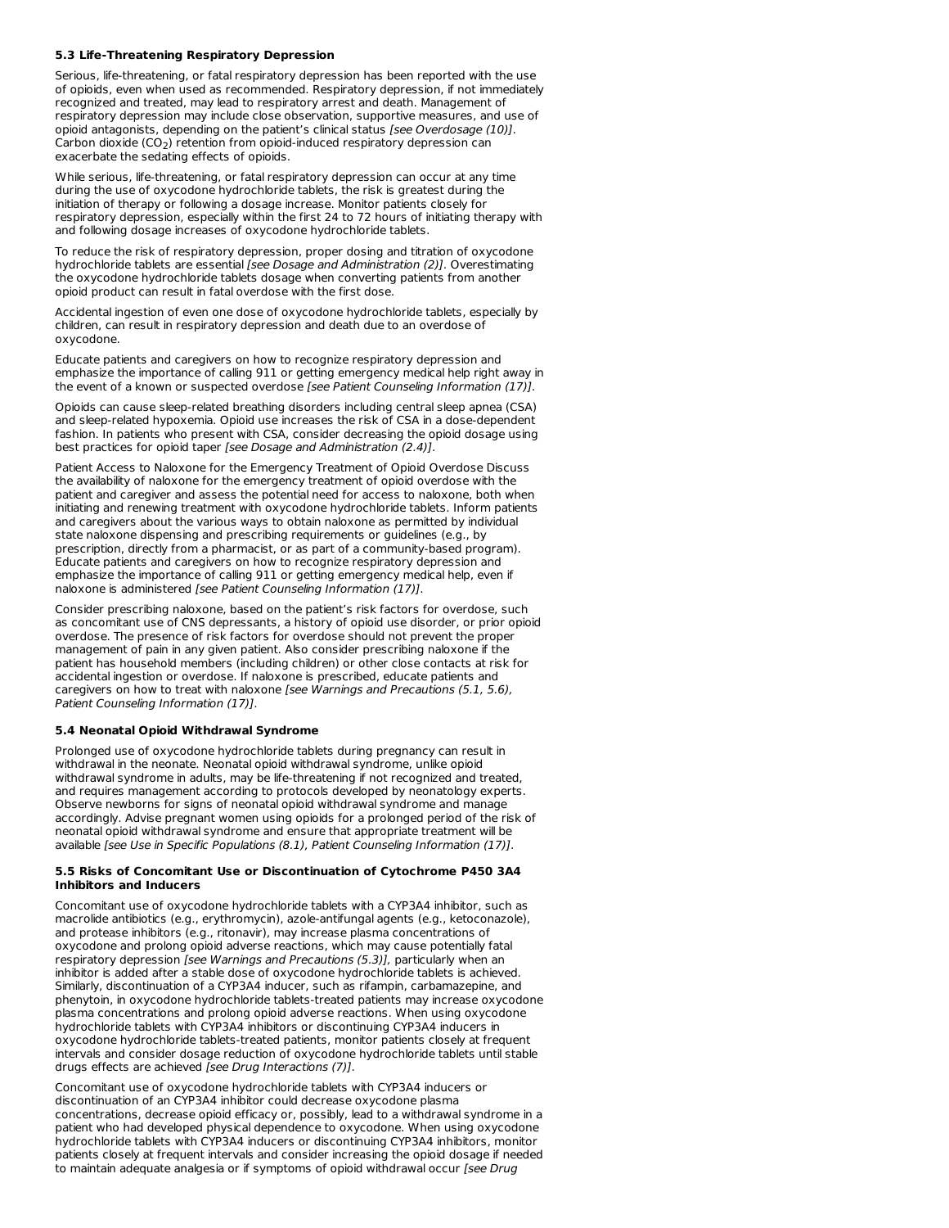# **5.3 Life-Threatening Respiratory Depression**

Serious, life-threatening, or fatal respiratory depression has been reported with the use of opioids, even when used as recommended. Respiratory depression, if not immediately recognized and treated, may lead to respiratory arrest and death. Management of respiratory depression may include close observation, supportive measures, and use of opioid antagonists, depending on the patient's clinical status [see Overdosage (10)]. Carbon dioxide (CO $_2$ ) retention from opioid-induced respiratory depression can exacerbate the sedating effects of opioids.

While serious, life-threatening, or fatal respiratory depression can occur at any time during the use of oxycodone hydrochloride tablets, the risk is greatest during the initiation of therapy or following a dosage increase. Monitor patients closely for respiratory depression, especially within the first 24 to 72 hours of initiating therapy with and following dosage increases of oxycodone hydrochloride tablets.

To reduce the risk of respiratory depression, proper dosing and titration of oxycodone hydrochloride tablets are essential [see Dosage and Administration (2)]. Overestimating the oxycodone hydrochloride tablets dosage when converting patients from another opioid product can result in fatal overdose with the first dose.

Accidental ingestion of even one dose of oxycodone hydrochloride tablets, especially by children, can result in respiratory depression and death due to an overdose of oxycodone.

Educate patients and caregivers on how to recognize respiratory depression and emphasize the importance of calling 911 or getting emergency medical help right away in the event of a known or suspected overdose [see Patient Counseling Information (17)].

Opioids can cause sleep-related breathing disorders including central sleep apnea (CSA) and sleep-related hypoxemia. Opioid use increases the risk of CSA in a dose-dependent fashion. In patients who present with CSA, consider decreasing the opioid dosage using best practices for opioid taper [see Dosage and Administration (2.4)].

Patient Access to Naloxone for the Emergency Treatment of Opioid Overdose Discuss the availability of naloxone for the emergency treatment of opioid overdose with the patient and caregiver and assess the potential need for access to naloxone, both when initiating and renewing treatment with oxycodone hydrochloride tablets. Inform patients and caregivers about the various ways to obtain naloxone as permitted by individual state naloxone dispensing and prescribing requirements or guidelines (e.g., by prescription, directly from a pharmacist, or as part of a community-based program). Educate patients and caregivers on how to recognize respiratory depression and emphasize the importance of calling 911 or getting emergency medical help, even if naloxone is administered [see Patient Counseling Information (17)].

Consider prescribing naloxone, based on the patient's risk factors for overdose, such as concomitant use of CNS depressants, a history of opioid use disorder, or prior opioid overdose. The presence of risk factors for overdose should not prevent the proper management of pain in any given patient. Also consider prescribing naloxone if the patient has household members (including children) or other close contacts at risk for accidental ingestion or overdose. If naloxone is prescribed, educate patients and caregivers on how to treat with naloxone [see Warnings and Precautions (5.1, 5.6), Patient Counseling Information (17)].

# **5.4 Neonatal Opioid Withdrawal Syndrome**

Prolonged use of oxycodone hydrochloride tablets during pregnancy can result in withdrawal in the neonate. Neonatal opioid withdrawal syndrome, unlike opioid withdrawal syndrome in adults, may be life-threatening if not recognized and treated, and requires management according to protocols developed by neonatology experts. Observe newborns for signs of neonatal opioid withdrawal syndrome and manage accordingly. Advise pregnant women using opioids for a prolonged period of the risk of neonatal opioid withdrawal syndrome and ensure that appropriate treatment will be available [see Use in Specific Populations (8.1), Patient Counseling Information (17)].

# **5.5 Risks of Concomitant Use or Discontinuation of Cytochrome P450 3A4 Inhibitors and Inducers**

Concomitant use of oxycodone hydrochloride tablets with a CYP3A4 inhibitor, such as macrolide antibiotics (e.g., erythromycin), azole-antifungal agents (e.g., ketoconazole), and protease inhibitors (e.g., ritonavir), may increase plasma concentrations of oxycodone and prolong opioid adverse reactions, which may cause potentially fatal respiratory depression [see Warnings and Precautions (5.3)], particularly when an inhibitor is added after a stable dose of oxycodone hydrochloride tablets is achieved. Similarly, discontinuation of a CYP3A4 inducer, such as rifampin, carbamazepine, and phenytoin, in oxycodone hydrochloride tablets-treated patients may increase oxycodone plasma concentrations and prolong opioid adverse reactions. When using oxycodone hydrochloride tablets with CYP3A4 inhibitors or discontinuing CYP3A4 inducers in oxycodone hydrochloride tablets-treated patients, monitor patients closely at frequent intervals and consider dosage reduction of oxycodone hydrochloride tablets until stable drugs effects are achieved [see Drug Interactions (7)].

Concomitant use of oxycodone hydrochloride tablets with CYP3A4 inducers or discontinuation of an CYP3A4 inhibitor could decrease oxycodone plasma concentrations, decrease opioid efficacy or, possibly, lead to a withdrawal syndrome in a patient who had developed physical dependence to oxycodone. When using oxycodone hydrochloride tablets with CYP3A4 inducers or discontinuing CYP3A4 inhibitors, monitor patients closely at frequent intervals and consider increasing the opioid dosage if needed to maintain adequate analgesia or if symptoms of opioid withdrawal occur [see Drug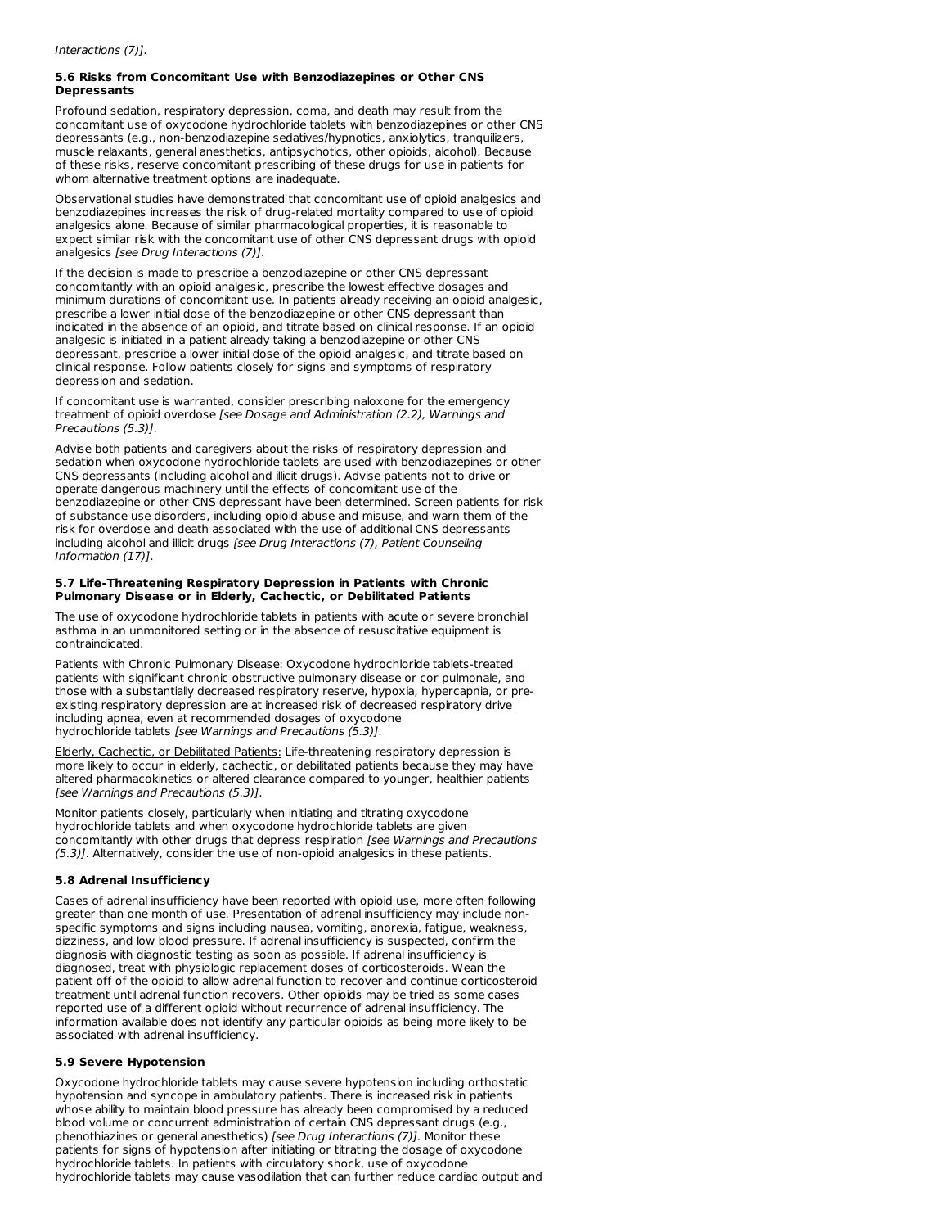# **5.6 Risks from Concomitant Use with Benzodiazepines or Other CNS Depressants**

Profound sedation, respiratory depression, coma, and death may result from the concomitant use of oxycodone hydrochloride tablets with benzodiazepines or other CNS depressants (e.g., non-benzodiazepine sedatives/hypnotics, anxiolytics, tranquilizers, muscle relaxants, general anesthetics, antipsychotics, other opioids, alcohol). Because of these risks, reserve concomitant prescribing of these drugs for use in patients for whom alternative treatment options are inadequate.

Observational studies have demonstrated that concomitant use of opioid analgesics and benzodiazepines increases the risk of drug-related mortality compared to use of opioid analgesics alone. Because of similar pharmacological properties, it is reasonable to expect similar risk with the concomitant use of other CNS depressant drugs with opioid analgesics [see Drug Interactions (7)].

If the decision is made to prescribe a benzodiazepine or other CNS depressant concomitantly with an opioid analgesic, prescribe the lowest effective dosages and minimum durations of concomitant use. In patients already receiving an opioid analgesic, prescribe a lower initial dose of the benzodiazepine or other CNS depressant than indicated in the absence of an opioid, and titrate based on clinical response. If an opioid analgesic is initiated in a patient already taking a benzodiazepine or other CNS depressant, prescribe a lower initial dose of the opioid analgesic, and titrate based on clinical response. Follow patients closely for signs and symptoms of respiratory depression and sedation.

If concomitant use is warranted, consider prescribing naloxone for the emergency treatment of opioid overdose [see Dosage and Administration (2.2), Warnings and Precautions (5.3)].

Advise both patients and caregivers about the risks of respiratory depression and sedation when oxycodone hydrochloride tablets are used with benzodiazepines or other CNS depressants (including alcohol and illicit drugs). Advise patients not to drive or operate dangerous machinery until the effects of concomitant use of the benzodiazepine or other CNS depressant have been determined. Screen patients for risk of substance use disorders, including opioid abuse and misuse, and warn them of the risk for overdose and death associated with the use of additional CNS depressants including alcohol and illicit drugs [see Drug Interactions (7), Patient Counseling Information (17)].

# **5.7 Life-Threatening Respiratory Depression in Patients with Chronic Pulmonary Disease or in Elderly, Cachectic, or Debilitated Patients**

The use of oxycodone hydrochloride tablets in patients with acute or severe bronchial asthma in an unmonitored setting or in the absence of resuscitative equipment is contraindicated.

Patients with Chronic Pulmonary Disease: Oxycodone hydrochloride tablets-treated patients with significant chronic obstructive pulmonary disease or cor pulmonale, and those with a substantially decreased respiratory reserve, hypoxia, hypercapnia, or preexisting respiratory depression are at increased risk of decreased respiratory drive including apnea, even at recommended dosages of oxycodone hydrochloride tablets [see Warnings and Precautions (5.3)].

Elderly, Cachectic, or Debilitated Patients: Life-threatening respiratory depression is more likely to occur in elderly, cachectic, or debilitated patients because they may have altered pharmacokinetics or altered clearance compared to younger, healthier patients [see Warnings and Precautions (5.3)].

Monitor patients closely, particularly when initiating and titrating oxycodone hydrochloride tablets and when oxycodone hydrochloride tablets are given concomitantly with other drugs that depress respiration [see Warnings and Precautions] (5.3)]. Alternatively, consider the use of non-opioid analgesics in these patients.

# **5.8 Adrenal Insufficiency**

Cases of adrenal insufficiency have been reported with opioid use, more often following greater than one month of use. Presentation of adrenal insufficiency may include nonspecific symptoms and signs including nausea, vomiting, anorexia, fatigue, weakness, dizziness, and low blood pressure. If adrenal insufficiency is suspected, confirm the diagnosis with diagnostic testing as soon as possible. If adrenal insufficiency is diagnosed, treat with physiologic replacement doses of corticosteroids. Wean the patient off of the opioid to allow adrenal function to recover and continue corticosteroid treatment until adrenal function recovers. Other opioids may be tried as some cases reported use of a different opioid without recurrence of adrenal insufficiency. The information available does not identify any particular opioids as being more likely to be associated with adrenal insufficiency.

# **5.9 Severe Hypotension**

Oxycodone hydrochloride tablets may cause severe hypotension including orthostatic hypotension and syncope in ambulatory patients. There is increased risk in patients whose ability to maintain blood pressure has already been compromised by a reduced blood volume or concurrent administration of certain CNS depressant drugs (e.g., phenothiazines or general anesthetics) [see Drug Interactions (7)]. Monitor these patients for signs of hypotension after initiating or titrating the dosage of oxycodone hydrochloride tablets. In patients with circulatory shock, use of oxycodone hydrochloride tablets may cause vasodilation that can further reduce cardiac output and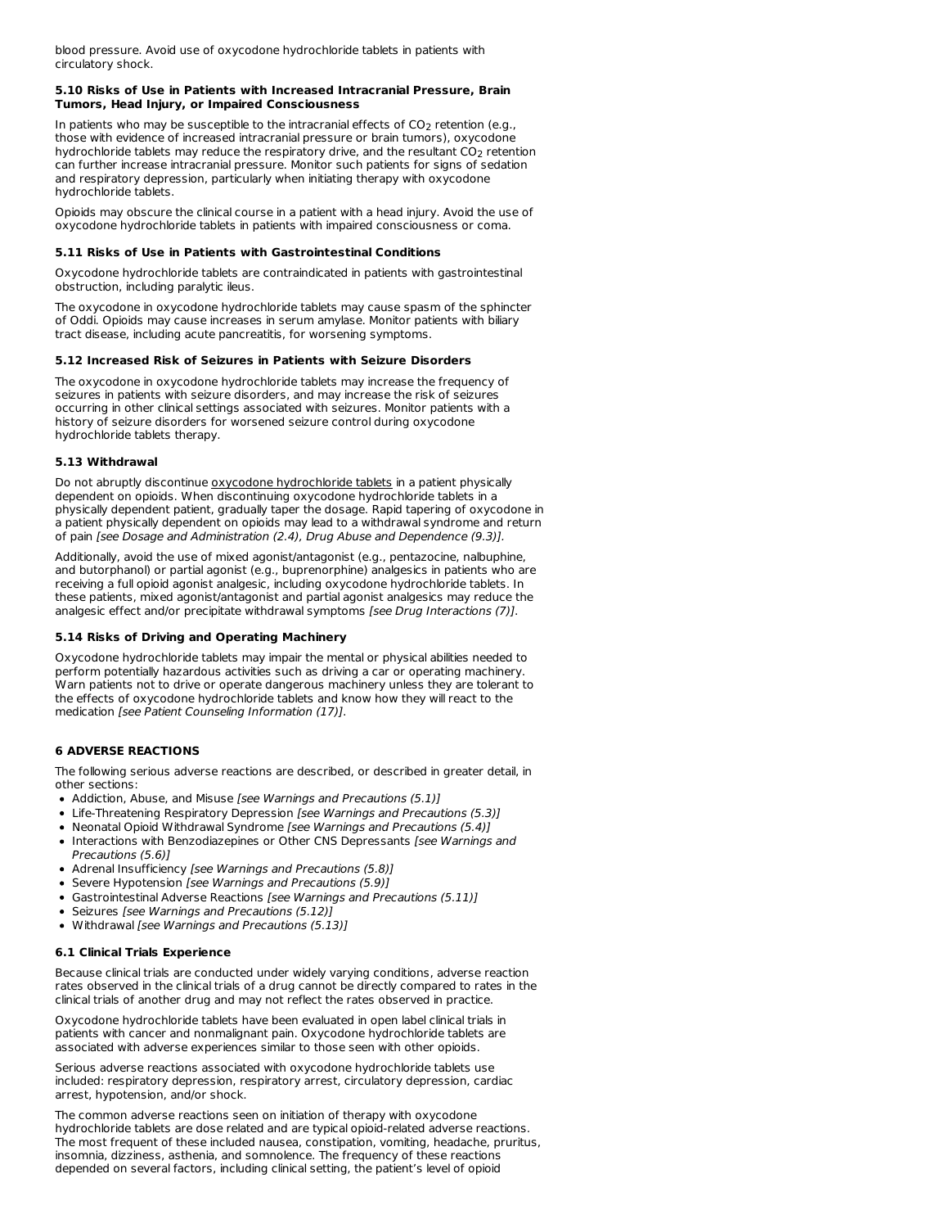blood pressure. Avoid use of oxycodone hydrochloride tablets in patients with circulatory shock.

# **5.10 Risks of Use in Patients with Increased Intracranial Pressure, Brain Tumors, Head Injury, or Impaired Consciousness**

In patients who may be susceptible to the intracranial effects of  $CO<sub>2</sub>$  retention (e.g., those with evidence of increased intracranial pressure or brain tumors), oxycodone hydrochloride tablets may reduce the respiratory drive, and the resultant  $\mathsf{CO}_{2}$  retention can further increase intracranial pressure. Monitor such patients for signs of sedation and respiratory depression, particularly when initiating therapy with oxycodone hydrochloride tablets.

Opioids may obscure the clinical course in a patient with a head injury. Avoid the use of oxycodone hydrochloride tablets in patients with impaired consciousness or coma.

# **5.11 Risks of Use in Patients with Gastrointestinal Conditions**

Oxycodone hydrochloride tablets are contraindicated in patients with gastrointestinal obstruction, including paralytic ileus.

The oxycodone in oxycodone hydrochloride tablets may cause spasm of the sphincter of Oddi. Opioids may cause increases in serum amylase. Monitor patients with biliary tract disease, including acute pancreatitis, for worsening symptoms.

# **5.12 Increased Risk of Seizures in Patients with Seizure Disorders**

The oxycodone in oxycodone hydrochloride tablets may increase the frequency of seizures in patients with seizure disorders, and may increase the risk of seizures occurring in other clinical settings associated with seizures. Monitor patients with a history of seizure disorders for worsened seizure control during oxycodone hydrochloride tablets therapy.

# **5.13 Withdrawal**

Do not abruptly discontinue oxycodone hydrochloride tablets in a patient physically dependent on opioids. When discontinuing oxycodone hydrochloride tablets in a physically dependent patient, gradually taper the dosage. Rapid tapering of oxycodone in a patient physically dependent on opioids may lead to a withdrawal syndrome and return of pain [see Dosage and Administration (2.4), Drug Abuse and Dependence (9.3)].

Additionally, avoid the use of mixed agonist/antagonist (e.g., pentazocine, nalbuphine, and butorphanol) or partial agonist (e.g., buprenorphine) analgesics in patients who are receiving a full opioid agonist analgesic, including oxycodone hydrochloride tablets. In these patients, mixed agonist/antagonist and partial agonist analgesics may reduce the analgesic effect and/or precipitate withdrawal symptoms [see Drug Interactions (7)].

# **5.14 Risks of Driving and Operating Machinery**

Oxycodone hydrochloride tablets may impair the mental or physical abilities needed to perform potentially hazardous activities such as driving a car or operating machinery. Warn patients not to drive or operate dangerous machinery unless they are tolerant to the effects of oxycodone hydrochloride tablets and know how they will react to the medication [see Patient Counseling Information (17)].

# **6 ADVERSE REACTIONS**

The following serious adverse reactions are described, or described in greater detail, in other sections:

- Addiction, Abuse, and Misuse [see Warnings and Precautions (5.1)]
- Life-Threatening Respiratory Depression [see Warnings and Precautions (5.3)]
- Neonatal Opioid Withdrawal Syndrome [see Warnings and Precautions (5.4)]
- Interactions with Benzodiazepines or Other CNS Depressants [see Warnings and Precautions (5.6)]
- Adrenal Insufficiency [see Warnings and Precautions (5.8)]
- Severe Hypotension [see Warnings and Precautions (5.9)]
- Gastrointestinal Adverse Reactions [see Warnings and Precautions (5.11)]
- Seizures [see Warnings and Precautions (5.12)]
- Withdrawal [see Warnings and Precautions (5.13)]

# **6.1 Clinical Trials Experience**

Because clinical trials are conducted under widely varying conditions, adverse reaction rates observed in the clinical trials of a drug cannot be directly compared to rates in the clinical trials of another drug and may not reflect the rates observed in practice.

Oxycodone hydrochloride tablets have been evaluated in open label clinical trials in patients with cancer and nonmalignant pain. Oxycodone hydrochloride tablets are associated with adverse experiences similar to those seen with other opioids.

Serious adverse reactions associated with oxycodone hydrochloride tablets use included: respiratory depression, respiratory arrest, circulatory depression, cardiac arrest, hypotension, and/or shock.

The common adverse reactions seen on initiation of therapy with oxycodone hydrochloride tablets are dose related and are typical opioid-related adverse reactions. The most frequent of these included nausea, constipation, vomiting, headache, pruritus, insomnia, dizziness, asthenia, and somnolence. The frequency of these reactions depended on several factors, including clinical setting, the patient's level of opioid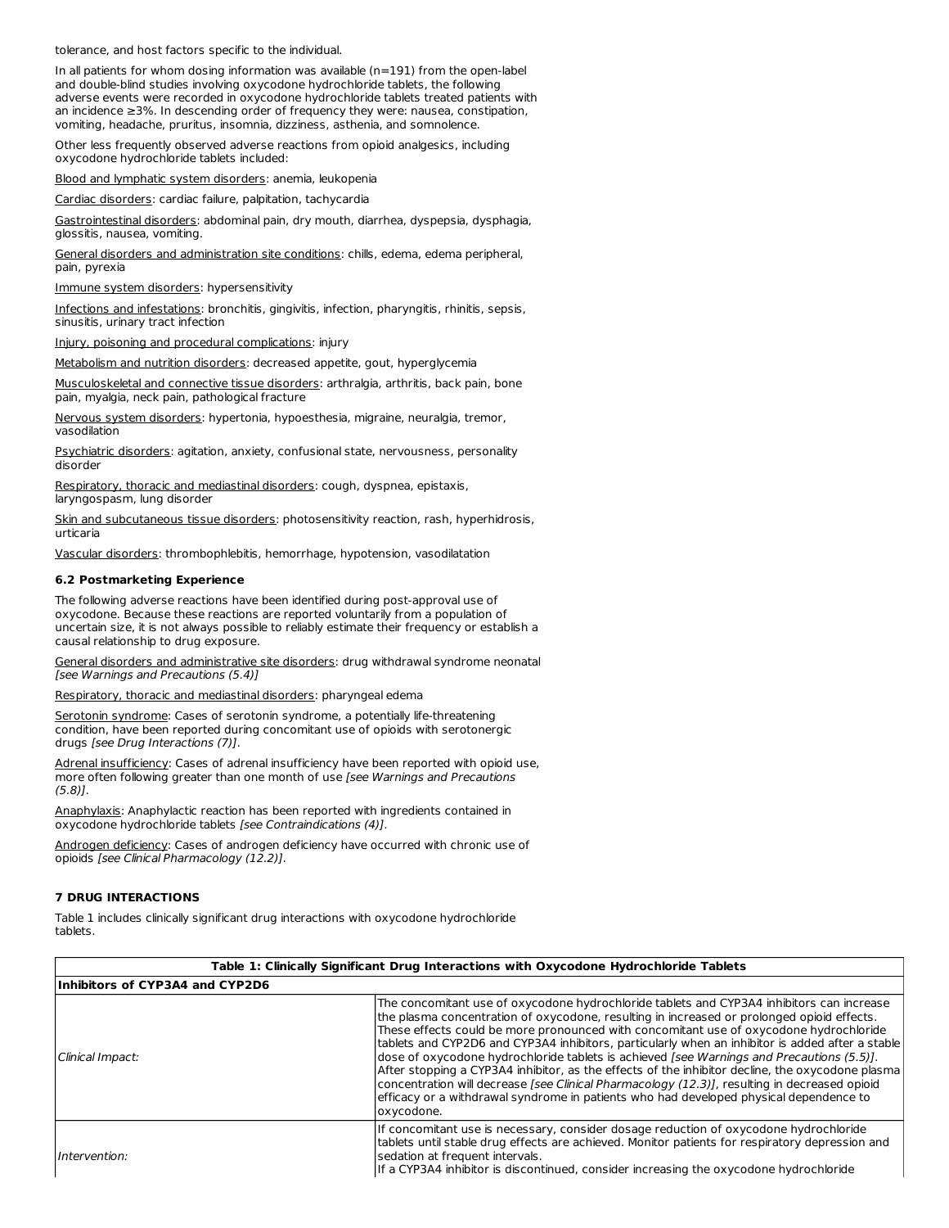tolerance, and host factors specific to the individual.

In all patients for whom dosing information was available  $(n=191)$  from the open-label and double-blind studies involving oxycodone hydrochloride tablets, the following adverse events were recorded in oxycodone hydrochloride tablets treated patients with an incidence ≥3%. In descending order of frequency they were: nausea, constipation, vomiting, headache, pruritus, insomnia, dizziness, asthenia, and somnolence.

Other less frequently observed adverse reactions from opioid analgesics, including oxycodone hydrochloride tablets included:

Blood and lymphatic system disorders: anemia, leukopenia

Cardiac disorders: cardiac failure, palpitation, tachycardia

Gastrointestinal disorders: abdominal pain, dry mouth, diarrhea, dyspepsia, dysphagia, glossitis, nausea, vomiting.

General disorders and administration site conditions: chills, edema, edema peripheral, pain, pyrexia

Immune system disorders: hypersensitivity

Infections and infestations: bronchitis, gingivitis, infection, pharyngitis, rhinitis, sepsis, sinusitis, urinary tract infection

Injury, poisoning and procedural complications: injury

Metabolism and nutrition disorders: decreased appetite, gout, hyperglycemia

Musculoskeletal and connective tissue disorders: arthralgia, arthritis, back pain, bone pain, myalgia, neck pain, pathological fracture

Nervous system disorders: hypertonia, hypoesthesia, migraine, neuralgia, tremor, vasodilation

Psychiatric disorders: agitation, anxiety, confusional state, nervousness, personality disorder

Respiratory, thoracic and mediastinal disorders: cough, dyspnea, epistaxis, laryngospasm, lung disorder

Skin and subcutaneous tissue disorders: photosensitivity reaction, rash, hyperhidrosis, urticaria

Vascular disorders: thrombophlebitis, hemorrhage, hypotension, vasodilatation

# **6.2 Postmarketing Experience**

The following adverse reactions have been identified during post-approval use of oxycodone. Because these reactions are reported voluntarily from a population of uncertain size, it is not always possible to reliably estimate their frequency or establish a causal relationship to drug exposure.

General disorders and administrative site disorders: drug withdrawal syndrome neonatal [see Warnings and Precautions (5.4)]

Respiratory, thoracic and mediastinal disorders: pharyngeal edema

Serotonin syndrome: Cases of serotonin syndrome, a potentially life-threatening condition, have been reported during concomitant use of opioids with serotonergic drugs [see Drug Interactions (7)].

Adrenal insufficiency: Cases of adrenal insufficiency have been reported with opioid use, more often following greater than one month of use [see Warnings and Precautions (5.8)].

Anaphylaxis: Anaphylactic reaction has been reported with ingredients contained in oxycodone hydrochloride tablets [see Contraindications (4)].

Androgen deficiency: Cases of androgen deficiency have occurred with chronic use of opioids [see Clinical Pharmacology (12.2)].

# **7 DRUG INTERACTIONS**

Table 1 includes clinically significant drug interactions with oxycodone hydrochloride tablets.

| Table 1: Clinically Significant Drug Interactions with Oxycodone Hydrochloride Tablets |                                                                                                                                                                                                                                                                                                                                                                                                                                                                                                                                                                                                                                                                                                                                                                                                                  |  |  |  |  |  |
|----------------------------------------------------------------------------------------|------------------------------------------------------------------------------------------------------------------------------------------------------------------------------------------------------------------------------------------------------------------------------------------------------------------------------------------------------------------------------------------------------------------------------------------------------------------------------------------------------------------------------------------------------------------------------------------------------------------------------------------------------------------------------------------------------------------------------------------------------------------------------------------------------------------|--|--|--|--|--|
| Inhibitors of CYP3A4 and CYP2D6                                                        |                                                                                                                                                                                                                                                                                                                                                                                                                                                                                                                                                                                                                                                                                                                                                                                                                  |  |  |  |  |  |
| Clinical Impact:                                                                       | The concomitant use of oxycodone hydrochloride tablets and CYP3A4 inhibitors can increase<br>the plasma concentration of oxycodone, resulting in increased or prolonged opioid effects.<br>These effects could be more pronounced with concomitant use of oxycodone hydrochloride<br>tablets and CYP2D6 and CYP3A4 inhibitors, particularly when an inhibitor is added after a stable<br>dose of oxycodone hydrochloride tablets is achieved <i>[see Warnings and Precautions (5.5)]</i> .<br>After stopping a CYP3A4 inhibitor, as the effects of the inhibitor decline, the oxycodone plasma<br> concentration will decrease <i>[see Clinical Pharmacology (12.3)]</i> , resulting in decreased opioid<br>efficacy or a withdrawal syndrome in patients who had developed physical dependence to<br>oxycodone. |  |  |  |  |  |
| Intervention:                                                                          | If concomitant use is necessary, consider dosage reduction of oxycodone hydrochloride<br>tablets until stable drug effects are achieved. Monitor patients for respiratory depression and<br>sedation at frequent intervals.<br>If a CYP3A4 inhibitor is discontinued, consider increasing the oxycodone hydrochloride                                                                                                                                                                                                                                                                                                                                                                                                                                                                                            |  |  |  |  |  |

**Table 1: Clinically Significant Drug Interactions with Oxycodone Hydrochloride Tablets**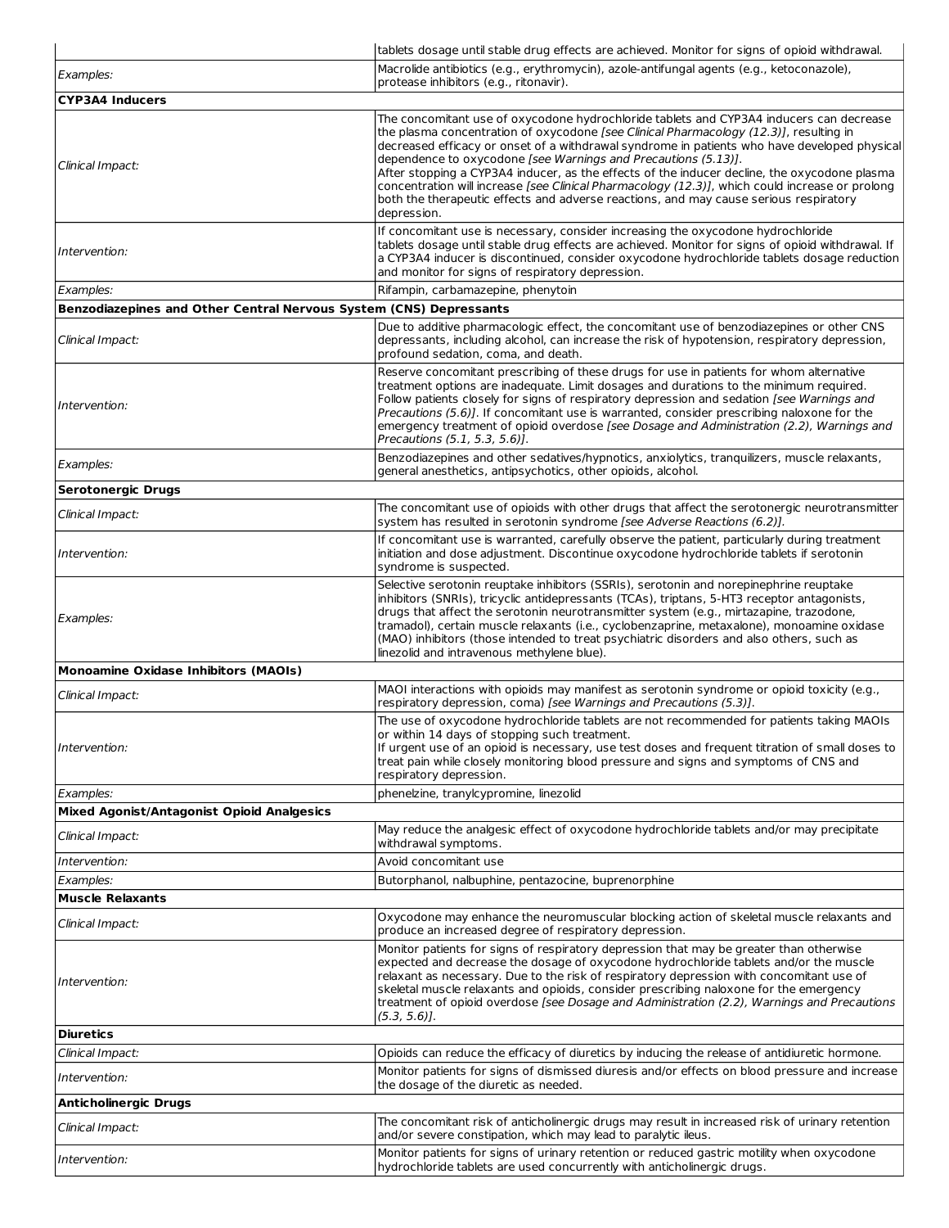|                                                                    | tablets dosage until stable drug effects are achieved. Monitor for signs of opioid withdrawal.                                                                                                                                                                                                                                                                                                                                                                                                                                                                                                                                                                 |
|--------------------------------------------------------------------|----------------------------------------------------------------------------------------------------------------------------------------------------------------------------------------------------------------------------------------------------------------------------------------------------------------------------------------------------------------------------------------------------------------------------------------------------------------------------------------------------------------------------------------------------------------------------------------------------------------------------------------------------------------|
| Examples:                                                          | Macrolide antibiotics (e.g., erythromycin), azole-antifungal agents (e.g., ketoconazole),<br>protease inhibitors (e.g., ritonavir).                                                                                                                                                                                                                                                                                                                                                                                                                                                                                                                            |
| CYP3A4 Inducers                                                    |                                                                                                                                                                                                                                                                                                                                                                                                                                                                                                                                                                                                                                                                |
| Clinical Impact:                                                   | The concomitant use of oxycodone hydrochloride tablets and CYP3A4 inducers can decrease<br>the plasma concentration of oxycodone [see Clinical Pharmacology (12.3)], resulting in<br>decreased efficacy or onset of a withdrawal syndrome in patients who have developed physical<br>dependence to oxycodone [see Warnings and Precautions (5.13)].<br>After stopping a CYP3A4 inducer, as the effects of the inducer decline, the oxycodone plasma<br>concentration will increase [see Clinical Pharmacology (12.3)], which could increase or prolong<br>both the therapeutic effects and adverse reactions, and may cause serious respiratory<br>depression. |
| Intervention:                                                      | If concomitant use is necessary, consider increasing the oxycodone hydrochloride<br>tablets dosage until stable drug effects are achieved. Monitor for signs of opioid withdrawal. If<br>a CYP3A4 inducer is discontinued, consider oxycodone hydrochloride tablets dosage reduction<br>and monitor for signs of respiratory depression.                                                                                                                                                                                                                                                                                                                       |
| Examples:                                                          | Rifampin, carbamazepine, phenytoin                                                                                                                                                                                                                                                                                                                                                                                                                                                                                                                                                                                                                             |
| Benzodiazepines and Other Central Nervous System (CNS) Depressants |                                                                                                                                                                                                                                                                                                                                                                                                                                                                                                                                                                                                                                                                |
| Clinical Impact:                                                   | Due to additive pharmacologic effect, the concomitant use of benzodiazepines or other CNS<br>depressants, including alcohol, can increase the risk of hypotension, respiratory depression,<br>profound sedation, coma, and death.                                                                                                                                                                                                                                                                                                                                                                                                                              |
| Intervention:                                                      | Reserve concomitant prescribing of these drugs for use in patients for whom alternative<br>treatment options are inadequate. Limit dosages and durations to the minimum required.<br>Follow patients closely for signs of respiratory depression and sedation [see Warnings and<br>Precautions (5.6)]. If concomitant use is warranted, consider prescribing naloxone for the<br>emergency treatment of opioid overdose [see Dosage and Administration (2.2), Warnings and<br>Precautions (5.1, 5.3, 5.6)].                                                                                                                                                    |
| Examples:                                                          | Benzodiazepines and other sedatives/hypnotics, anxiolytics, tranguilizers, muscle relaxants,<br>general anesthetics, antipsychotics, other opioids, alcohol.                                                                                                                                                                                                                                                                                                                                                                                                                                                                                                   |
| Serotonergic Drugs                                                 |                                                                                                                                                                                                                                                                                                                                                                                                                                                                                                                                                                                                                                                                |
| Clinical Impact:                                                   | The concomitant use of opioids with other drugs that affect the serotonergic neurotransmitter<br>system has resulted in serotonin syndrome [see Adverse Reactions (6.2)].                                                                                                                                                                                                                                                                                                                                                                                                                                                                                      |
| Intervention:                                                      | If concomitant use is warranted, carefully observe the patient, particularly during treatment<br>initiation and dose adjustment. Discontinue oxycodone hydrochloride tablets if serotonin<br>syndrome is suspected.                                                                                                                                                                                                                                                                                                                                                                                                                                            |
| Examples:                                                          | Selective serotonin reuptake inhibitors (SSRIs), serotonin and norepinephrine reuptake<br>inhibitors (SNRIs), tricyclic antidepressants (TCAs), triptans, 5-HT3 receptor antagonists,<br>drugs that affect the serotonin neurotransmitter system (e.g., mirtazapine, trazodone,<br>tramadol), certain muscle relaxants (i.e., cyclobenzaprine, metaxalone), monoamine oxidase<br>(MAO) inhibitors (those intended to treat psychiatric disorders and also others, such as<br>linezolid and intravenous methylene blue).                                                                                                                                        |
| Monoamine Oxidase Inhibitors (MAOIs)                               |                                                                                                                                                                                                                                                                                                                                                                                                                                                                                                                                                                                                                                                                |
| Clinical Impact:                                                   | MAOI interactions with opioids may manifest as serotonin syndrome or opioid toxicity (e.g.,<br>respiratory depression, coma) [see Warnings and Precautions (5.3)].                                                                                                                                                                                                                                                                                                                                                                                                                                                                                             |
| Intervention:                                                      | The use of oxycodone hydrochloride tablets are not recommended for patients taking MAOIs<br>or within 14 days of stopping such treatment.<br>If urgent use of an opioid is necessary, use test doses and frequent titration of small doses to<br>treat pain while closely monitoring blood pressure and signs and symptoms of CNS and<br>respiratory depression.                                                                                                                                                                                                                                                                                               |
| Examples:                                                          | phenelzine, tranylcypromine, linezolid                                                                                                                                                                                                                                                                                                                                                                                                                                                                                                                                                                                                                         |
| Mixed Agonist/Antagonist Opioid Analgesics                         |                                                                                                                                                                                                                                                                                                                                                                                                                                                                                                                                                                                                                                                                |
| Clinical Impact:                                                   | May reduce the analgesic effect of oxycodone hydrochloride tablets and/or may precipitate<br>withdrawal symptoms.                                                                                                                                                                                                                                                                                                                                                                                                                                                                                                                                              |
| Intervention:                                                      | Avoid concomitant use                                                                                                                                                                                                                                                                                                                                                                                                                                                                                                                                                                                                                                          |
| Examples:                                                          | Butorphanol, nalbuphine, pentazocine, buprenorphine                                                                                                                                                                                                                                                                                                                                                                                                                                                                                                                                                                                                            |
| <b>Muscle Relaxants</b><br>Clinical Impact:                        | Oxycodone may enhance the neuromuscular blocking action of skeletal muscle relaxants and<br>produce an increased degree of respiratory depression.                                                                                                                                                                                                                                                                                                                                                                                                                                                                                                             |
| Intervention:                                                      | Monitor patients for signs of respiratory depression that may be greater than otherwise<br>expected and decrease the dosage of oxycodone hydrochloride tablets and/or the muscle<br>relaxant as necessary. Due to the risk of respiratory depression with concomitant use of<br>skeletal muscle relaxants and opioids, consider prescribing naloxone for the emergency<br>treatment of opioid overdose [see Dosage and Administration (2.2), Warnings and Precautions<br>$(5.3, 5.6)$ ].                                                                                                                                                                       |
| <b>Diuretics</b>                                                   |                                                                                                                                                                                                                                                                                                                                                                                                                                                                                                                                                                                                                                                                |
| Clinical Impact:<br>Intervention:                                  | Opioids can reduce the efficacy of diuretics by inducing the release of antidiuretic hormone.<br>Monitor patients for signs of dismissed diuresis and/or effects on blood pressure and increase                                                                                                                                                                                                                                                                                                                                                                                                                                                                |
|                                                                    | the dosage of the diuretic as needed.                                                                                                                                                                                                                                                                                                                                                                                                                                                                                                                                                                                                                          |
| <b>Anticholinergic Drugs</b>                                       |                                                                                                                                                                                                                                                                                                                                                                                                                                                                                                                                                                                                                                                                |
| Clinical Impact:                                                   | The concomitant risk of anticholinergic drugs may result in increased risk of urinary retention<br>and/or severe constipation, which may lead to paralytic ileus.                                                                                                                                                                                                                                                                                                                                                                                                                                                                                              |
| Intervention:                                                      | Monitor patients for signs of urinary retention or reduced gastric motility when oxycodone<br>hydrochloride tablets are used concurrently with anticholinergic drugs.                                                                                                                                                                                                                                                                                                                                                                                                                                                                                          |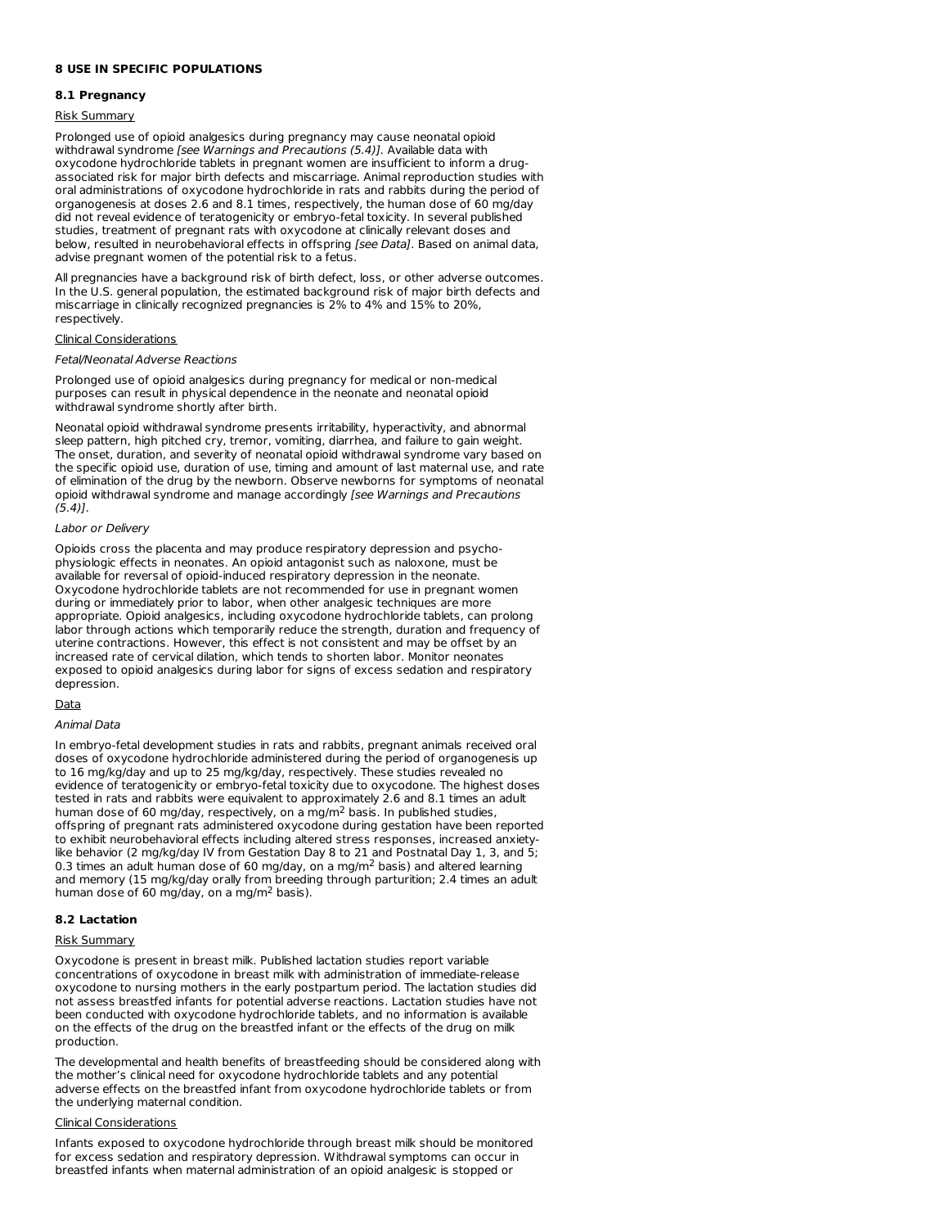# **8 USE IN SPECIFIC POPULATIONS**

### **8.1 Pregnancy**

#### Risk Summary

Prolonged use of opioid analgesics during pregnancy may cause neonatal opioid withdrawal syndrome [see Warnings and Precautions (5.4)]. Available data with oxycodone hydrochloride tablets in pregnant women are insufficient to inform a drugassociated risk for major birth defects and miscarriage. Animal reproduction studies with oral administrations of oxycodone hydrochloride in rats and rabbits during the period of organogenesis at doses 2.6 and 8.1 times, respectively, the human dose of 60 mg/day did not reveal evidence of teratogenicity or embryo-fetal toxicity. In several published studies, treatment of pregnant rats with oxycodone at clinically relevant doses and below, resulted in neurobehavioral effects in offspring [see Data]. Based on animal data, advise pregnant women of the potential risk to a fetus.

All pregnancies have a background risk of birth defect, loss, or other adverse outcomes. In the U.S. general population, the estimated background risk of major birth defects and miscarriage in clinically recognized pregnancies is 2% to 4% and 15% to 20%, respectively.

# Clinical Considerations

#### Fetal/Neonatal Adverse Reactions

Prolonged use of opioid analgesics during pregnancy for medical or non-medical purposes can result in physical dependence in the neonate and neonatal opioid withdrawal syndrome shortly after birth.

Neonatal opioid withdrawal syndrome presents irritability, hyperactivity, and abnormal sleep pattern, high pitched cry, tremor, vomiting, diarrhea, and failure to gain weight. The onset, duration, and severity of neonatal opioid withdrawal syndrome vary based on the specific opioid use, duration of use, timing and amount of last maternal use, and rate of elimination of the drug by the newborn. Observe newborns for symptoms of neonatal opioid withdrawal syndrome and manage accordingly [see Warnings and Precautions  $(5.4)$ ].

### Labor or Delivery

Opioids cross the placenta and may produce respiratory depression and psychophysiologic effects in neonates. An opioid antagonist such as naloxone, must be available for reversal of opioid-induced respiratory depression in the neonate. Oxycodone hydrochloride tablets are not recommended for use in pregnant women during or immediately prior to labor, when other analgesic techniques are more appropriate. Opioid analgesics, including oxycodone hydrochloride tablets, can prolong labor through actions which temporarily reduce the strength, duration and frequency of uterine contractions. However, this effect is not consistent and may be offset by an increased rate of cervical dilation, which tends to shorten labor. Monitor neonates exposed to opioid analgesics during labor for signs of excess sedation and respiratory depression.

# Data

#### Animal Data

In embryo-fetal development studies in rats and rabbits, pregnant animals received oral doses of oxycodone hydrochloride administered during the period of organogenesis up to 16 mg/kg/day and up to 25 mg/kg/day, respectively. These studies revealed no evidence of teratogenicity or embryo-fetal toxicity due to oxycodone. The highest doses tested in rats and rabbits were equivalent to approximately 2.6 and 8.1 times an adult human dose of 60 mg/day, respectively, on a mg/m<sup>2</sup> basis. In published studies, offspring of pregnant rats administered oxycodone during gestation have been reported to exhibit neurobehavioral effects including altered stress responses, increased anxietylike behavior (2 mg/kg/day IV from Gestation Day 8 to 21 and Postnatal Day 1, 3, and 5; 0.3 times an adult human dose of 60 mg/day, on a mg/m<sup>2</sup> basis) and altered learning and memory (15 mg/kg/day orally from breeding through parturition; 2.4 times an adult human dose of 60 mg/day, on a mg/m<sup>2</sup> basis).

# **8.2 Lactation**

### Risk Summary

Oxycodone is present in breast milk. Published lactation studies report variable concentrations of oxycodone in breast milk with administration of immediate-release oxycodone to nursing mothers in the early postpartum period. The lactation studies did not assess breastfed infants for potential adverse reactions. Lactation studies have not been conducted with oxycodone hydrochloride tablets, and no information is available on the effects of the drug on the breastfed infant or the effects of the drug on milk production.

The developmental and health benefits of breastfeeding should be considered along with the mother's clinical need for oxycodone hydrochloride tablets and any potential adverse effects on the breastfed infant from oxycodone hydrochloride tablets or from the underlying maternal condition.

# Clinical Considerations

Infants exposed to oxycodone hydrochloride through breast milk should be monitored for excess sedation and respiratory depression. Withdrawal symptoms can occur in breastfed infants when maternal administration of an opioid analgesic is stopped or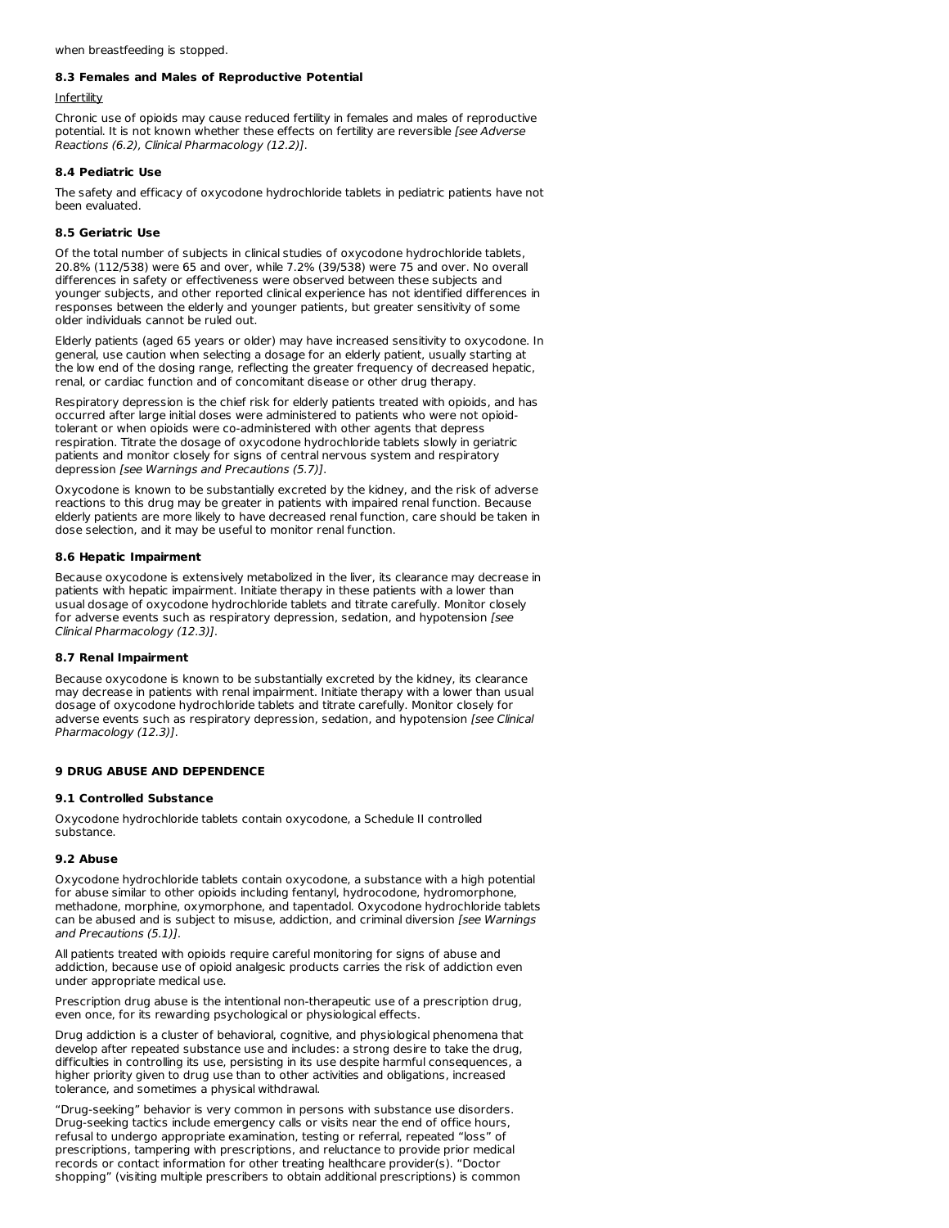when breastfeeding is stopped.

# **8.3 Females and Males of Reproductive Potential**

### Infertility

Chronic use of opioids may cause reduced fertility in females and males of reproductive potential. It is not known whether these effects on fertility are reversible [see Adverse Reactions (6.2), Clinical Pharmacology (12.2)].

# **8.4 Pediatric Use**

The safety and efficacy of oxycodone hydrochloride tablets in pediatric patients have not been evaluated.

# **8.5 Geriatric Use**

Of the total number of subjects in clinical studies of oxycodone hydrochloride tablets, 20.8% (112/538) were 65 and over, while 7.2% (39/538) were 75 and over. No overall differences in safety or effectiveness were observed between these subjects and younger subjects, and other reported clinical experience has not identified differences in responses between the elderly and younger patients, but greater sensitivity of some older individuals cannot be ruled out.

Elderly patients (aged 65 years or older) may have increased sensitivity to oxycodone. In general, use caution when selecting a dosage for an elderly patient, usually starting at the low end of the dosing range, reflecting the greater frequency of decreased hepatic, renal, or cardiac function and of concomitant disease or other drug therapy.

Respiratory depression is the chief risk for elderly patients treated with opioids, and has occurred after large initial doses were administered to patients who were not opioidtolerant or when opioids were co-administered with other agents that depress respiration. Titrate the dosage of oxycodone hydrochloride tablets slowly in geriatric patients and monitor closely for signs of central nervous system and respiratory depression [see Warnings and Precautions (5.7)].

Oxycodone is known to be substantially excreted by the kidney, and the risk of adverse reactions to this drug may be greater in patients with impaired renal function. Because elderly patients are more likely to have decreased renal function, care should be taken in dose selection, and it may be useful to monitor renal function.

# **8.6 Hepatic Impairment**

Because oxycodone is extensively metabolized in the liver, its clearance may decrease in patients with hepatic impairment. Initiate therapy in these patients with a lower than usual dosage of oxycodone hydrochloride tablets and titrate carefully. Monitor closely for adverse events such as respiratory depression, sedation, and hypotension [see Clinical Pharmacology (12.3)].

# **8.7 Renal Impairment**

Because oxycodone is known to be substantially excreted by the kidney, its clearance may decrease in patients with renal impairment. Initiate therapy with a lower than usual dosage of oxycodone hydrochloride tablets and titrate carefully. Monitor closely for adverse events such as respiratory depression, sedation, and hypotension [see Clinical Pharmacology (12.3)].

# **9 DRUG ABUSE AND DEPENDENCE**

### **9.1 Controlled Substance**

Oxycodone hydrochloride tablets contain oxycodone, a Schedule II controlled substance.

### **9.2 Abuse**

Oxycodone hydrochloride tablets contain oxycodone, a substance with a high potential for abuse similar to other opioids including fentanyl, hydrocodone, hydromorphone, methadone, morphine, oxymorphone, and tapentadol. Oxycodone hydrochloride tablets can be abused and is subject to misuse, addiction, and criminal diversion [see Warnings and Precautions (5.1)].

All patients treated with opioids require careful monitoring for signs of abuse and addiction, because use of opioid analgesic products carries the risk of addiction even under appropriate medical use.

Prescription drug abuse is the intentional non-therapeutic use of a prescription drug, even once, for its rewarding psychological or physiological effects.

Drug addiction is a cluster of behavioral, cognitive, and physiological phenomena that develop after repeated substance use and includes: a strong desire to take the drug, difficulties in controlling its use, persisting in its use despite harmful consequences, a higher priority given to drug use than to other activities and obligations, increased tolerance, and sometimes a physical withdrawal.

"Drug-seeking" behavior is very common in persons with substance use disorders. Drug-seeking tactics include emergency calls or visits near the end of office hours, refusal to undergo appropriate examination, testing or referral, repeated "loss" of prescriptions, tampering with prescriptions, and reluctance to provide prior medical records or contact information for other treating healthcare provider(s). "Doctor shopping" (visiting multiple prescribers to obtain additional prescriptions) is common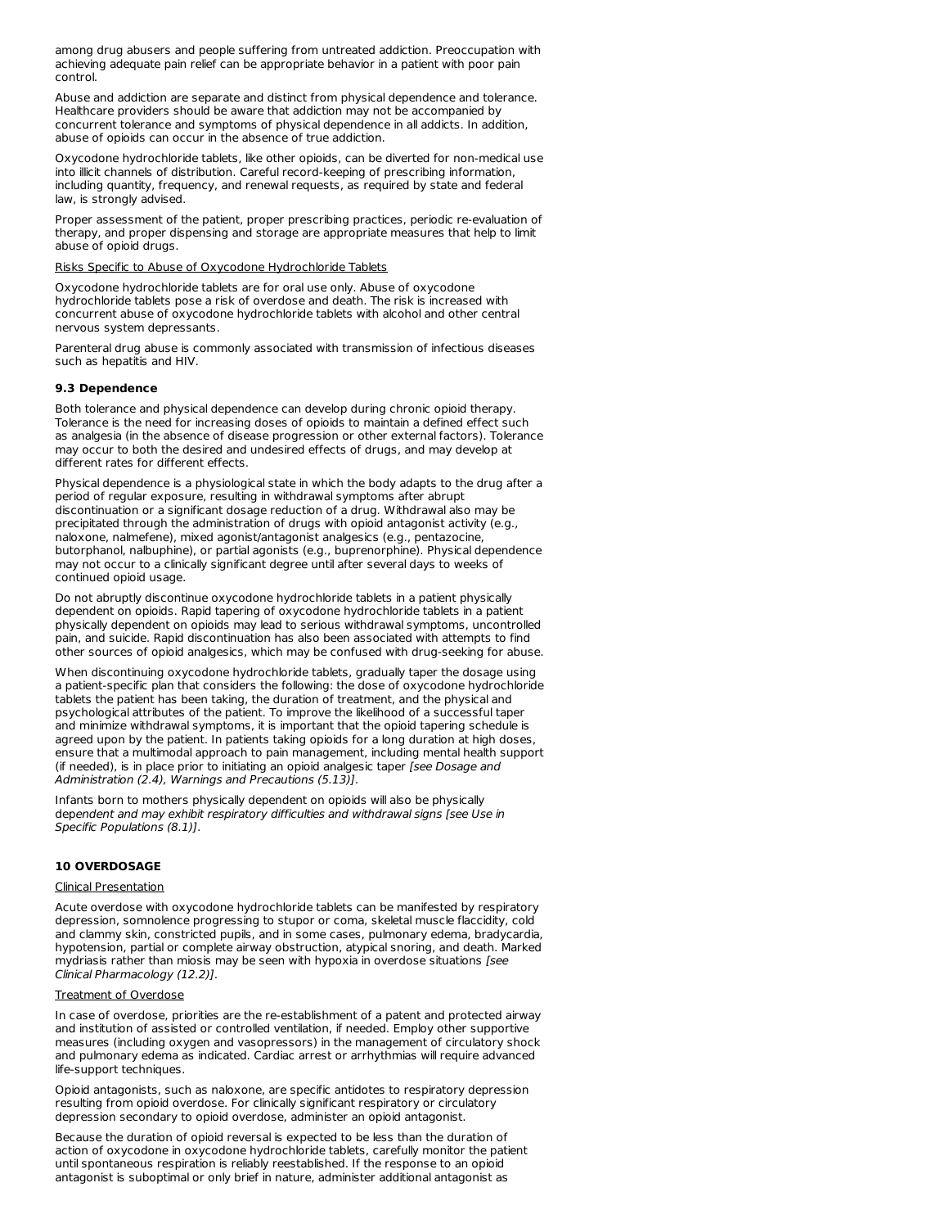among drug abusers and people suffering from untreated addiction. Preoccupation with achieving adequate pain relief can be appropriate behavior in a patient with poor pain control.

Abuse and addiction are separate and distinct from physical dependence and tolerance. Healthcare providers should be aware that addiction may not be accompanied by concurrent tolerance and symptoms of physical dependence in all addicts. In addition, abuse of opioids can occur in the absence of true addiction.

Oxycodone hydrochloride tablets, like other opioids, can be diverted for non-medical use into illicit channels of distribution. Careful record-keeping of prescribing information, including quantity, frequency, and renewal requests, as required by state and federal law, is strongly advised.

Proper assessment of the patient, proper prescribing practices, periodic re-evaluation of therapy, and proper dispensing and storage are appropriate measures that help to limit abuse of opioid drugs.

# Risks Specific to Abuse of Oxycodone Hydrochloride Tablets

Oxycodone hydrochloride tablets are for oral use only. Abuse of oxycodone hydrochloride tablets pose a risk of overdose and death. The risk is increased with concurrent abuse of oxycodone hydrochloride tablets with alcohol and other central nervous system depressants.

Parenteral drug abuse is commonly associated with transmission of infectious diseases such as hepatitis and HIV.

# **9.3 Dependence**

Both tolerance and physical dependence can develop during chronic opioid therapy. Tolerance is the need for increasing doses of opioids to maintain a defined effect such as analgesia (in the absence of disease progression or other external factors). Tolerance may occur to both the desired and undesired effects of drugs, and may develop at different rates for different effects.

Physical dependence is a physiological state in which the body adapts to the drug after a period of regular exposure, resulting in withdrawal symptoms after abrupt discontinuation or a significant dosage reduction of a drug. Withdrawal also may be precipitated through the administration of drugs with opioid antagonist activity (e.g., naloxone, nalmefene), mixed agonist/antagonist analgesics (e.g., pentazocine, butorphanol, nalbuphine), or partial agonists (e.g., buprenorphine). Physical dependence may not occur to a clinically significant degree until after several days to weeks of continued opioid usage.

Do not abruptly discontinue oxycodone hydrochloride tablets in a patient physically dependent on opioids. Rapid tapering of oxycodone hydrochloride tablets in a patient physically dependent on opioids may lead to serious withdrawal symptoms, uncontrolled pain, and suicide. Rapid discontinuation has also been associated with attempts to find other sources of opioid analgesics, which may be confused with drug-seeking for abuse.

When discontinuing oxycodone hydrochloride tablets, gradually taper the dosage using a patient-specific plan that considers the following: the dose of oxycodone hydrochloride tablets the patient has been taking, the duration of treatment, and the physical and psychological attributes of the patient. To improve the likelihood of a successful taper and minimize withdrawal symptoms, it is important that the opioid tapering schedule is agreed upon by the patient. In patients taking opioids for a long duration at high doses, ensure that a multimodal approach to pain management, including mental health support (if needed), is in place prior to initiating an opioid analgesic taper [see Dosage and Administration (2.4), Warnings and Precautions (5.13)].

Infants born to mothers physically dependent on opioids will also be physically dependent and may exhibit respiratory difficulties and withdrawal signs [see Use in Specific Populations (8.1)].

### **10 OVERDOSAGE**

#### Clinical Presentation

Acute overdose with oxycodone hydrochloride tablets can be manifested by respiratory depression, somnolence progressing to stupor or coma, skeletal muscle flaccidity, cold and clammy skin, constricted pupils, and in some cases, pulmonary edema, bradycardia, hypotension, partial or complete airway obstruction, atypical snoring, and death. Marked mydriasis rather than miosis may be seen with hypoxia in overdose situations [see Clinical Pharmacology (12.2)].

# Treatment of Overdose

In case of overdose, priorities are the re-establishment of a patent and protected airway and institution of assisted or controlled ventilation, if needed. Employ other supportive measures (including oxygen and vasopressors) in the management of circulatory shock and pulmonary edema as indicated. Cardiac arrest or arrhythmias will require advanced life-support techniques.

Opioid antagonists, such as naloxone, are specific antidotes to respiratory depression resulting from opioid overdose. For clinically significant respiratory or circulatory depression secondary to opioid overdose, administer an opioid antagonist.

Because the duration of opioid reversal is expected to be less than the duration of action of oxycodone in oxycodone hydrochloride tablets, carefully monitor the patient until spontaneous respiration is reliably reestablished. If the response to an opioid antagonist is suboptimal or only brief in nature, administer additional antagonist as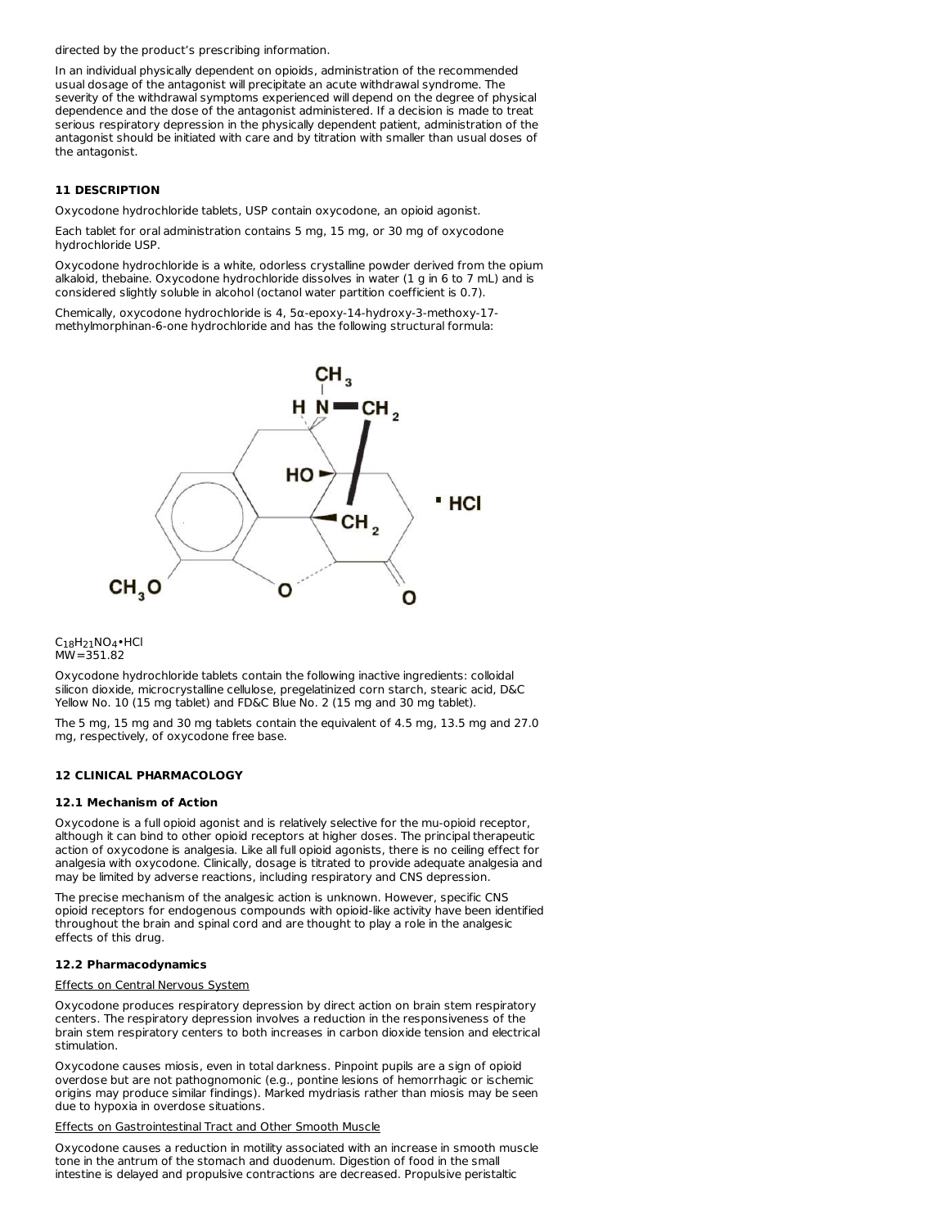directed by the product's prescribing information.

In an individual physically dependent on opioids, administration of the recommended usual dosage of the antagonist will precipitate an acute withdrawal syndrome. The severity of the withdrawal symptoms experienced will depend on the degree of physical dependence and the dose of the antagonist administered. If a decision is made to treat serious respiratory depression in the physically dependent patient, administration of the antagonist should be initiated with care and by titration with smaller than usual doses of the antagonist.

# **11 DESCRIPTION**

Oxycodone hydrochloride tablets, USP contain oxycodone, an opioid agonist.

Each tablet for oral administration contains 5 mg, 15 mg, or 30 mg of oxycodone hydrochloride USP.

Oxycodone hydrochloride is a white, odorless crystalline powder derived from the opium alkaloid, thebaine. Oxycodone hydrochloride dissolves in water (1 g in 6 to 7 mL) and is considered slightly soluble in alcohol (octanol water partition coefficient is 0.7).

Chemically, oxycodone hydrochloride is 4, 5α-epoxy-14-hydroxy-3-methoxy-17 methylmorphinan-6-one hydrochloride and has the following structural formula:



 $\mathsf{C}_{18} \mathsf{H}_{21}$ NO $_4$ •HCl MW=351.82

Oxycodone hydrochloride tablets contain the following inactive ingredients: colloidal silicon dioxide, microcrystalline cellulose, pregelatinized corn starch, stearic acid, D&C Yellow No. 10 (15 mg tablet) and FD&C Blue No. 2 (15 mg and 30 mg tablet).

The 5 mg, 15 mg and 30 mg tablets contain the equivalent of 4.5 mg, 13.5 mg and 27.0 mg, respectively, of oxycodone free base.

# **12 CLINICAL PHARMACOLOGY**

### **12.1 Mechanism of Action**

Oxycodone is a full opioid agonist and is relatively selective for the mu-opioid receptor, although it can bind to other opioid receptors at higher doses. The principal therapeutic action of oxycodone is analgesia. Like all full opioid agonists, there is no ceiling effect for analgesia with oxycodone. Clinically, dosage is titrated to provide adequate analgesia and may be limited by adverse reactions, including respiratory and CNS depression.

The precise mechanism of the analgesic action is unknown. However, specific CNS opioid receptors for endogenous compounds with opioid-like activity have been identified throughout the brain and spinal cord and are thought to play a role in the analgesic effects of this drug.

### **12.2 Pharmacodynamics**

### Effects on Central Nervous System

Oxycodone produces respiratory depression by direct action on brain stem respiratory centers. The respiratory depression involves a reduction in the responsiveness of the brain stem respiratory centers to both increases in carbon dioxide tension and electrical stimulation.

Oxycodone causes miosis, even in total darkness. Pinpoint pupils are a sign of opioid overdose but are not pathognomonic (e.g., pontine lesions of hemorrhagic or ischemic origins may produce similar findings). Marked mydriasis rather than miosis may be seen due to hypoxia in overdose situations.

### Effects on Gastrointestinal Tract and Other Smooth Muscle

Oxycodone causes a reduction in motility associated with an increase in smooth muscle tone in the antrum of the stomach and duodenum. Digestion of food in the small intestine is delayed and propulsive contractions are decreased. Propulsive peristaltic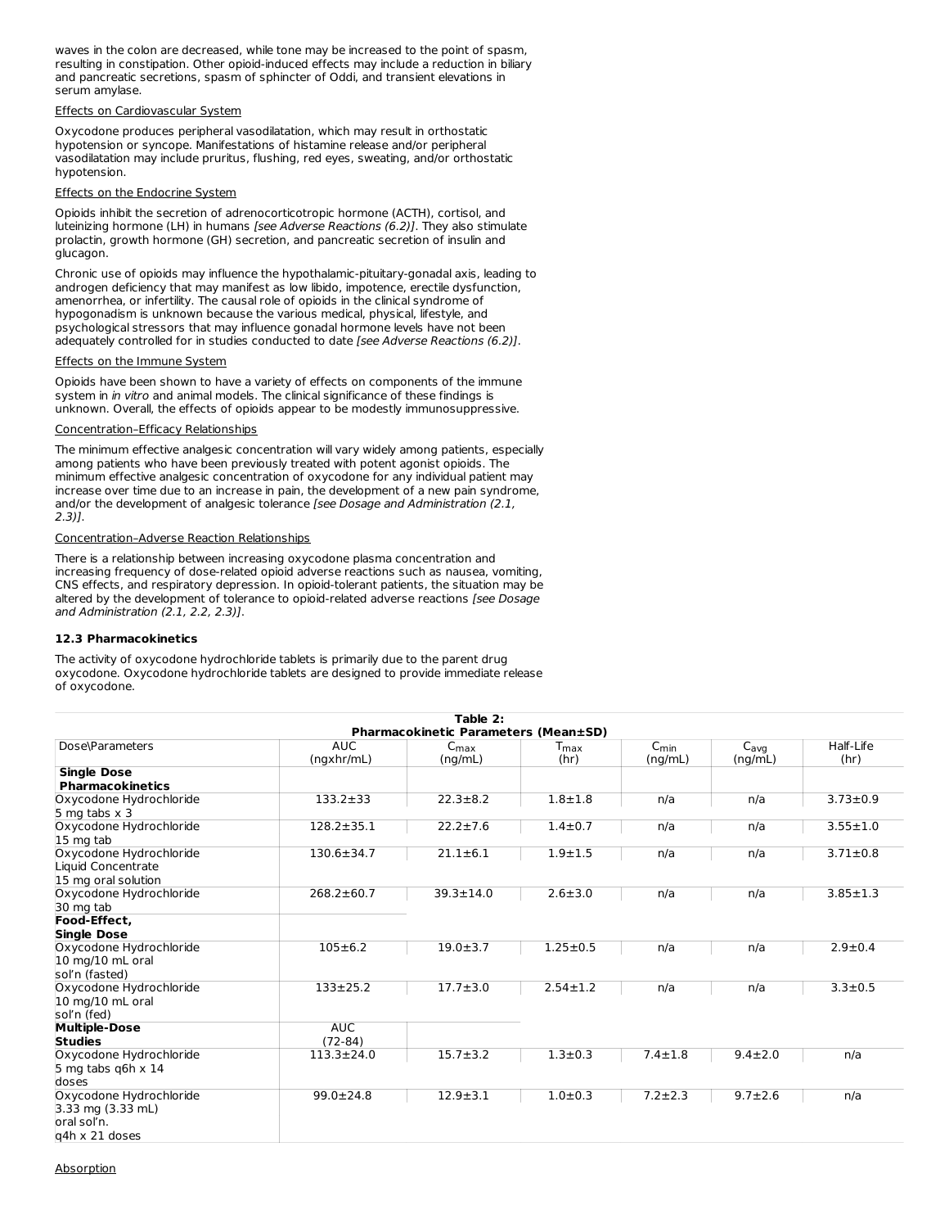waves in the colon are decreased, while tone may be increased to the point of spasm, resulting in constipation. Other opioid-induced effects may include a reduction in biliary and pancreatic secretions, spasm of sphincter of Oddi, and transient elevations in serum amylase.

# Effects on Cardiovascular System

Oxycodone produces peripheral vasodilatation, which may result in orthostatic hypotension or syncope. Manifestations of histamine release and/or peripheral vasodilatation may include pruritus, flushing, red eyes, sweating, and/or orthostatic hypotension.

### Effects on the Endocrine System

Opioids inhibit the secretion of adrenocorticotropic hormone (ACTH), cortisol, and luteinizing hormone (LH) in humans [see Adverse Reactions (6.2)]. They also stimulate prolactin, growth hormone (GH) secretion, and pancreatic secretion of insulin and glucagon.

Chronic use of opioids may influence the hypothalamic-pituitary-gonadal axis, leading to androgen deficiency that may manifest as low libido, impotence, erectile dysfunction, amenorrhea, or infertility. The causal role of opioids in the clinical syndrome of hypogonadism is unknown because the various medical, physical, lifestyle, and psychological stressors that may influence gonadal hormone levels have not been adequately controlled for in studies conducted to date [see Adverse Reactions (6.2)].

### Effects on the Immune System

Opioids have been shown to have a variety of effects on components of the immune system in in vitro and animal models. The clinical significance of these findings is unknown. Overall, the effects of opioids appear to be modestly immunosuppressive.

# Concentration–Efficacy Relationships

The minimum effective analgesic concentration will vary widely among patients, especially among patients who have been previously treated with potent agonist opioids. The minimum effective analgesic concentration of oxycodone for any individual patient may increase over time due to an increase in pain, the development of a new pain syndrome, and/or the development of analgesic tolerance [see Dosage and Administration (2.1, 2.3)].

# Concentration–Adverse Reaction Relationships

There is a relationship between increasing oxycodone plasma concentration and increasing frequency of dose-related opioid adverse reactions such as nausea, vomiting, CNS effects, and respiratory depression. In opioid-tolerant patients, the situation may be altered by the development of tolerance to opioid-related adverse reactions [see Dosage and Administration (2.1, 2.2, 2.3)].

# **12.3 Pharmacokinetics**

The activity of oxycodone hydrochloride tablets is primarily due to the parent drug oxycodone. Oxycodone hydrochloride tablets are designed to provide immediate release of oxycodone.

|                                                                                   |                          | Table 2:                 |                                     |                             |                      |                   |  |
|-----------------------------------------------------------------------------------|--------------------------|--------------------------|-------------------------------------|-----------------------------|----------------------|-------------------|--|
| <b>Pharmacokinetic Parameters (Mean±SD)</b>                                       |                          |                          |                                     |                             |                      |                   |  |
| Dose\Parameters                                                                   | <b>AUC</b><br>(ngxhr/mL) | $C_{\rm max}$<br>(nq/mL) | $\mathsf{T}_{\mathsf{max}}$<br>(hr) | $C_{\text{min}}$<br>(ng/mL) | $C_{avg}$<br>(ng/mL) | Half-Life<br>(hr) |  |
| <b>Single Dose</b><br><b>Pharmacokinetics</b>                                     |                          |                          |                                     |                             |                      |                   |  |
| Oxycodone Hydrochloride<br>$5$ mg tabs $\times$ 3                                 | $133.2 \pm 33$           | $22.3 \pm 8.2$           | $1.8 + 1.8$                         | n/a                         | n/a                  | $3.73 \pm 0.9$    |  |
| Oxycodone Hydrochloride<br>15 mg tab                                              | $128.2 \pm 35.1$         | $22.2 \pm 7.6$           | $1.4 \pm 0.7$                       | n/a                         | n/a                  | $3.55 \pm 1.0$    |  |
| Oxycodone Hydrochloride<br>Liquid Concentrate<br>15 mg oral solution              | $130.6 \pm 34.7$         | $21.1 \pm 6.1$           | $1.9 + 1.5$                         | n/a                         | n/a                  | $3.71 \pm 0.8$    |  |
| Oxycodone Hydrochloride<br>30 mg tab                                              | $268.2 \pm 60.7$         | $39.3 \pm 14.0$          | $2.6 \pm 3.0$                       | n/a                         | n/a                  | $3.85 \pm 1.3$    |  |
| Food-Effect,<br><b>Single Dose</b>                                                |                          |                          |                                     |                             |                      |                   |  |
| Oxycodone Hydrochloride<br>10 mg/10 mL oral<br>sol'n (fasted)                     | $105 \pm 6.2$            | $19.0 \pm 3.7$           | $1.25 \pm 0.5$                      | n/a                         | n/a                  | $2.9 \pm 0.4$     |  |
| Oxycodone Hydrochloride<br>10 mg/10 mL oral<br>sol'n (fed)                        | $133 \pm 25.2$           | $17.7 \pm 3.0$           | $2.54 \pm 1.2$                      | n/a                         | n/a                  | $3.3 \pm 0.5$     |  |
| <b>Multiple-Dose</b>                                                              | <b>AUC</b>               |                          |                                     |                             |                      |                   |  |
| <b>Studies</b>                                                                    | $(72-84)$                |                          |                                     |                             |                      |                   |  |
| Oxycodone Hydrochloride<br>5 mg tabs q6h $\times$ 14<br>doses                     | $113.3 \pm 24.0$         | $15.7 \pm 3.2$           | $1.3 + 0.3$                         | $7.4 \pm 1.8$               | $9.4 \pm 2.0$        | n/a               |  |
| Oxycodone Hydrochloride<br>$3.33$ mg $(3.33$ mL)<br>oral sol'n.<br>q4h x 21 doses | $99.0 \pm 24.8$          | $12.9 + 3.1$             | $1.0 + 0.3$                         | $7.2 \pm 2.3$               | $9.7 \pm 2.6$        | n/a               |  |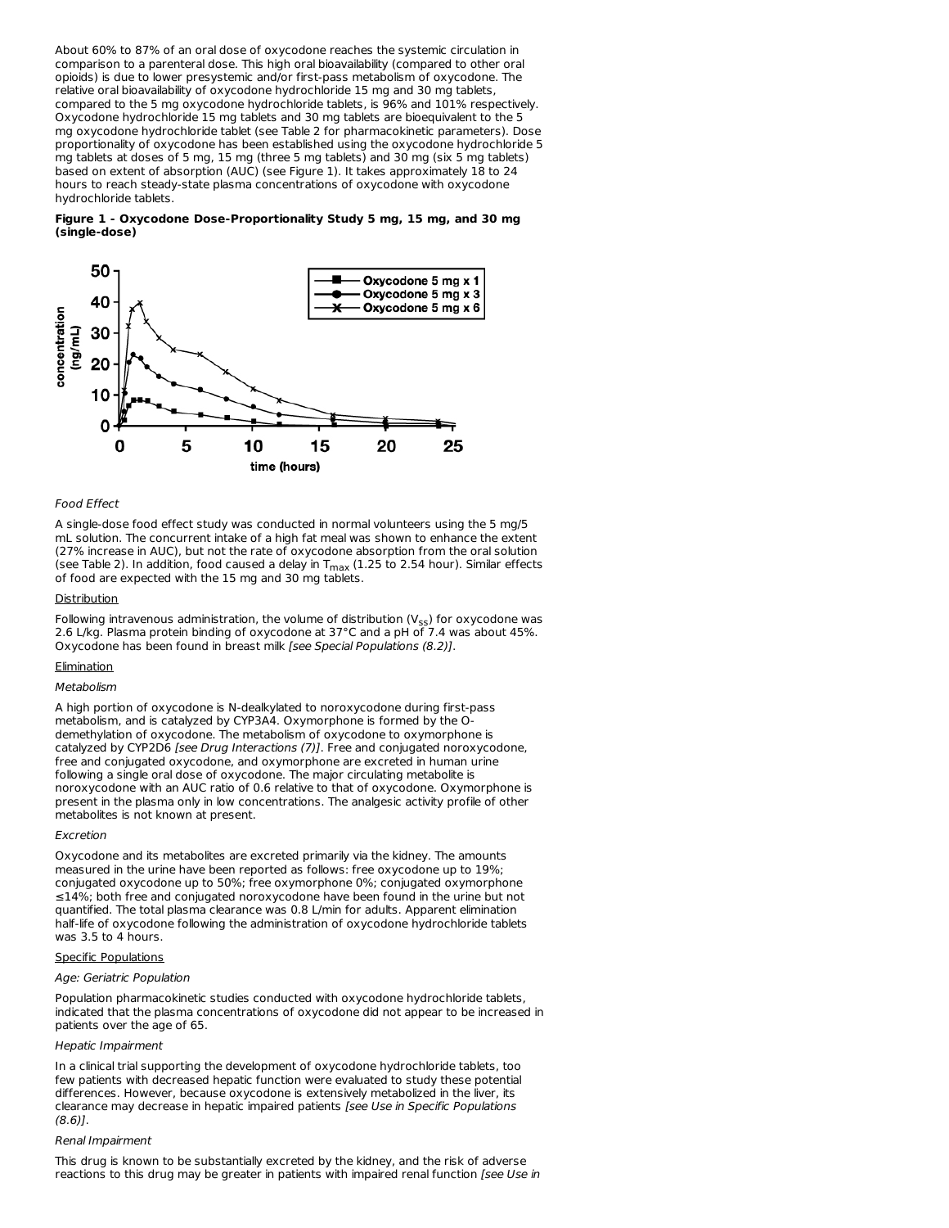About 60% to 87% of an oral dose of oxycodone reaches the systemic circulation in comparison to a parenteral dose. This high oral bioavailability (compared to other oral opioids) is due to lower presystemic and/or first-pass metabolism of oxycodone. The relative oral bioavailability of oxycodone hydrochloride 15 mg and 30 mg tablets, compared to the 5 mg oxycodone hydrochloride tablets, is 96% and 101% respectively. Oxycodone hydrochloride 15 mg tablets and 30 mg tablets are bioequivalent to the 5 mg oxycodone hydrochloride tablet (see Table 2 for pharmacokinetic parameters). Dose proportionality of oxycodone has been established using the oxycodone hydrochloride 5 mg tablets at doses of 5 mg, 15 mg (three 5 mg tablets) and 30 mg (six 5 mg tablets) based on extent of absorption (AUC) (see Figure 1). It takes approximately 18 to 24 hours to reach steady-state plasma concentrations of oxycodone with oxycodone hydrochloride tablets.

**Figure 1 - Oxycodone Dose-Proportionality Study 5 mg, 15 mg, and 30 mg (single-dose)**



### Food Effect

A single-dose food effect study was conducted in normal volunteers using the 5 mg/5 mL solution. The concurrent intake of a high fat meal was shown to enhance the extent (27% increase in AUC), but not the rate of oxycodone absorption from the oral solution (see Table 2). In addition, food caused a delay in  $T_{\rm max}$  (1.25 to 2.54 hour). Similar effects of food are expected with the 15 mg and 30 mg tablets.

### Distribution

Following intravenous administration, the volume of distribution (V $_{\rm{SS}}$ ) for oxycodone was 2.6 L/kg. Plasma protein binding of oxycodone at 37°C and a pH of 7.4 was about 45%. Oxycodone has been found in breast milk [see Special Populations (8.2)].

# Elimination

# Metabolism

A high portion of oxycodone is N-dealkylated to noroxycodone during first-pass metabolism, and is catalyzed by CYP3A4. Oxymorphone is formed by the Odemethylation of oxycodone. The metabolism of oxycodone to oxymorphone is catalyzed by CYP2D6 [see Drug Interactions (7)]. Free and conjugated noroxycodone, free and conjugated oxycodone, and oxymorphone are excreted in human urine following a single oral dose of oxycodone. The major circulating metabolite is noroxycodone with an AUC ratio of 0.6 relative to that of oxycodone. Oxymorphone is present in the plasma only in low concentrations. The analgesic activity profile of other metabolites is not known at present.

#### Excretion

Oxycodone and its metabolites are excreted primarily via the kidney. The amounts measured in the urine have been reported as follows: free oxycodone up to 19%; conjugated oxycodone up to 50%; free oxymorphone 0%; conjugated oxymorphone ≤14%; both free and conjugated noroxycodone have been found in the urine but not quantified. The total plasma clearance was 0.8 L/min for adults. Apparent elimination half-life of oxycodone following the administration of oxycodone hydrochloride tablets was 3.5 to 4 hours.

### Specific Populations

### Age: Geriatric Population

Population pharmacokinetic studies conducted with oxycodone hydrochloride tablets, indicated that the plasma concentrations of oxycodone did not appear to be increased in patients over the age of 65.

### Hepatic Impairment

In a clinical trial supporting the development of oxycodone hydrochloride tablets, too few patients with decreased hepatic function were evaluated to study these potential differences. However, because oxycodone is extensively metabolized in the liver, its clearance may decrease in hepatic impaired patients [see Use in Specific Populations  $(8.6)$ ].

### Renal Impairment

This drug is known to be substantially excreted by the kidney, and the risk of adverse reactions to this drug may be greater in patients with impaired renal function [see Use in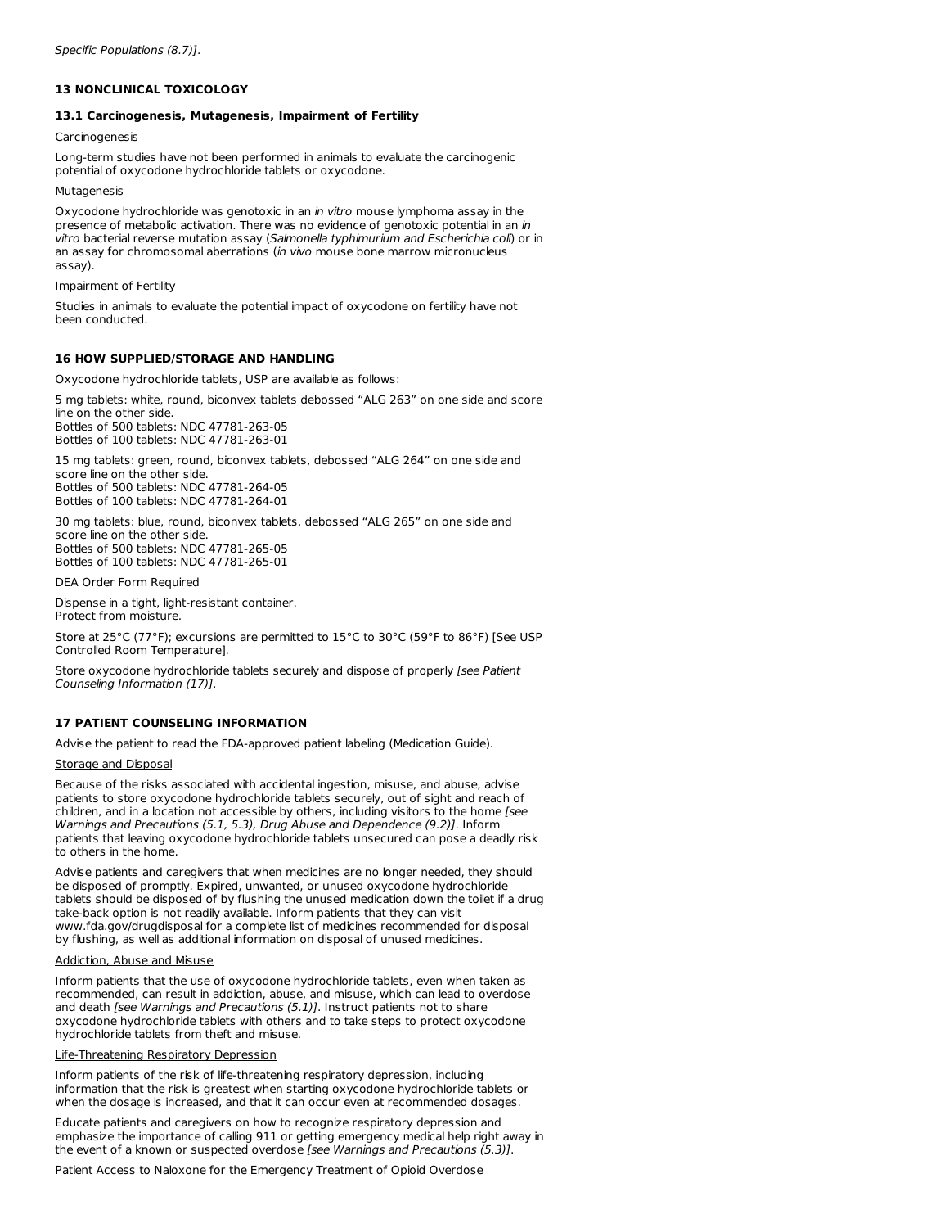# **13 NONCLINICAL TOXICOLOGY**

#### **13.1 Carcinogenesis, Mutagenesis, Impairment of Fertility**

**Carcinogenesis** 

Long-term studies have not been performed in animals to evaluate the carcinogenic potential of oxycodone hydrochloride tablets or oxycodone.

#### Mutagenesis

Oxycodone hydrochloride was genotoxic in an in vitro mouse lymphoma assay in the presence of metabolic activation. There was no evidence of genotoxic potential in an in vitro bacterial reverse mutation assay (Salmonella typhimurium and Escherichia coli) or in an assay for chromosomal aberrations (in vivo mouse bone marrow micronucleus assay).

### Impairment of Fertility

Studies in animals to evaluate the potential impact of oxycodone on fertility have not been conducted.

# **16 HOW SUPPLIED/STORAGE AND HANDLING**

Oxycodone hydrochloride tablets, USP are available as follows:

5 mg tablets: white, round, biconvex tablets debossed "ALG 263" on one side and score line on the other side.

Bottles of 500 tablets: NDC 47781-263-05 Bottles of 100 tablets: NDC 47781-263-01

15 mg tablets: green, round, biconvex tablets, debossed "ALG 264" on one side and score line on the other side. Bottles of 500 tablets: NDC 47781-264-05 Bottles of 100 tablets: NDC 47781-264-01

30 mg tablets: blue, round, biconvex tablets, debossed "ALG 265" on one side and score line on the other side. Bottles of 500 tablets: NDC 47781-265-05 Bottles of 100 tablets: NDC 47781-265-01

DEA Order Form Required

Dispense in a tight, light-resistant container. Protect from moisture.

Store at 25°C (77°F); excursions are permitted to 15°C to 30°C (59°F to 86°F) [See USP Controlled Room Temperature].

Store oxycodone hydrochloride tablets securely and dispose of properly [see Patient Counseling Information (17)].

# **17 PATIENT COUNSELING INFORMATION**

Advise the patient to read the FDA-approved patient labeling (Medication Guide).

#### Storage and Disposal

Because of the risks associated with accidental ingestion, misuse, and abuse, advise patients to store oxycodone hydrochloride tablets securely, out of sight and reach of children, and in a location not accessible by others, including visitors to the home [see Warnings and Precautions (5.1, 5.3), Drug Abuse and Dependence (9.2)]. Inform patients that leaving oxycodone hydrochloride tablets unsecured can pose a deadly risk to others in the home.

Advise patients and caregivers that when medicines are no longer needed, they should be disposed of promptly. Expired, unwanted, or unused oxycodone hydrochloride tablets should be disposed of by flushing the unused medication down the toilet if a drug take-back option is not readily available. Inform patients that they can visit www.fda.gov/drugdisposal for a complete list of medicines recommended for disposal by flushing, as well as additional information on disposal of unused medicines.

#### Addiction, Abuse and Misuse

Inform patients that the use of oxycodone hydrochloride tablets, even when taken as recommended, can result in addiction, abuse, and misuse, which can lead to overdose and death [see Warnings and Precautions (5.1)]. Instruct patients not to share oxycodone hydrochloride tablets with others and to take steps to protect oxycodone hydrochloride tablets from theft and misuse.

### Threatening Respiratory Depression

Inform patients of the risk of life-threatening respiratory depression, including information that the risk is greatest when starting oxycodone hydrochloride tablets or when the dosage is increased, and that it can occur even at recommended dosages.

Educate patients and caregivers on how to recognize respiratory depression and emphasize the importance of calling 911 or getting emergency medical help right away in the event of a known or suspected overdose [see Warnings and Precautions (5.3)].

Patient Access to Naloxone for the Emergency Treatment of Opioid Overdose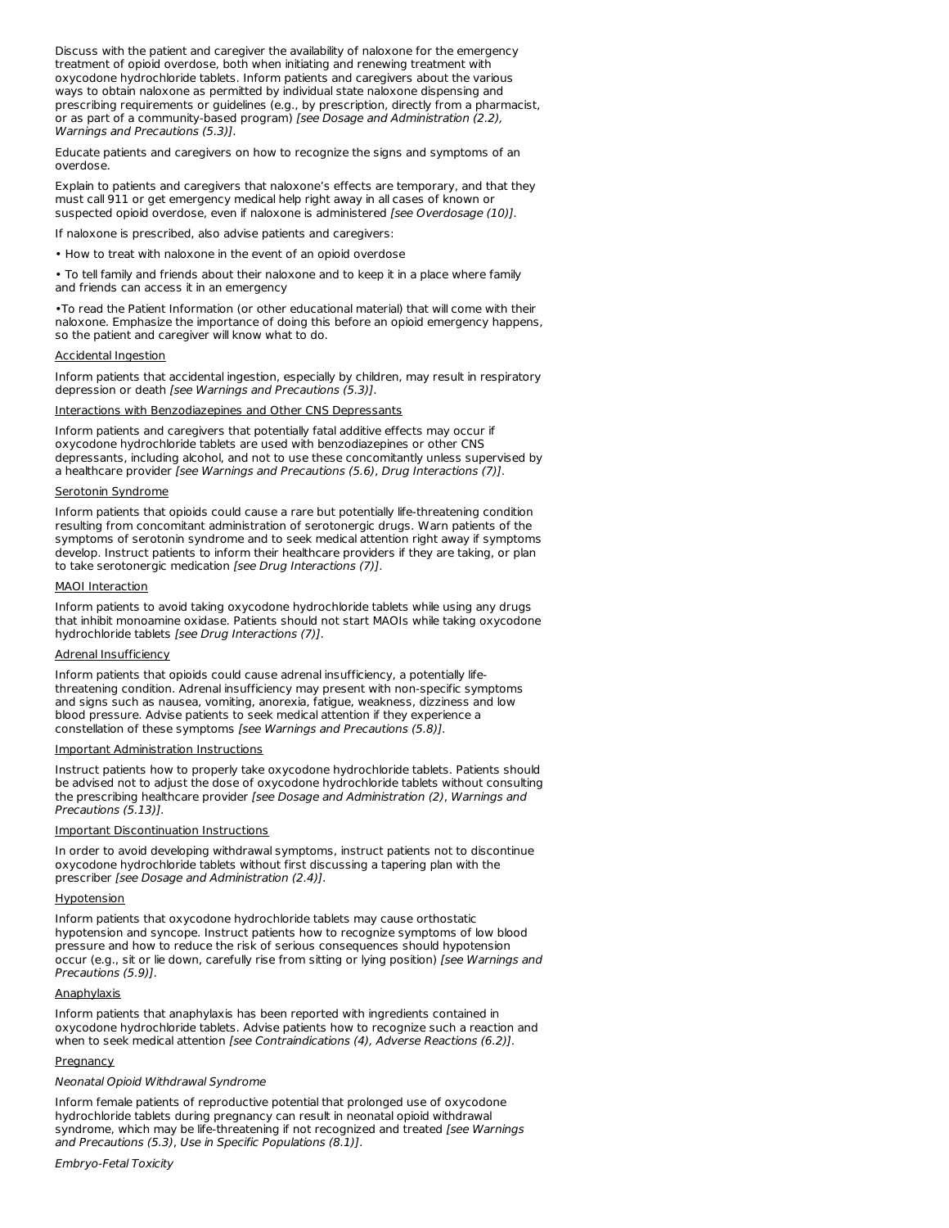Discuss with the patient and caregiver the availability of naloxone for the emergency treatment of opioid overdose, both when initiating and renewing treatment with oxycodone hydrochloride tablets. Inform patients and caregivers about the various ways to obtain naloxone as permitted by individual state naloxone dispensing and prescribing requirements or guidelines (e.g., by prescription, directly from a pharmacist, or as part of a community-based program) [see Dosage and Administration (2.2), Warnings and Precautions (5.3)].

Educate patients and caregivers on how to recognize the signs and symptoms of an overdose.

Explain to patients and caregivers that naloxone's effects are temporary, and that they must call 911 or get emergency medical help right away in all cases of known or suspected opioid overdose, even if naloxone is administered [see Overdosage (10)].

If naloxone is prescribed, also advise patients and caregivers:

• How to treat with naloxone in the event of an opioid overdose

• To tell family and friends about their naloxone and to keep it in a place where family and friends can access it in an emergency

•To read the Patient Information (or other educational material) that will come with their naloxone. Emphasize the importance of doing this before an opioid emergency happens, so the patient and caregiver will know what to do.

### Accidental Ingestion

Inform patients that accidental ingestion, especially by children, may result in respiratory depression or death [see Warnings and Precautions (5.3)].

### Interactions with Benzodiazepines and Other CNS Depressants

Inform patients and caregivers that potentially fatal additive effects may occur if oxycodone hydrochloride tablets are used with benzodiazepines or other CNS depressants, including alcohol, and not to use these concomitantly unless supervised by a healthcare provider [see Warnings and Precautions (5.6), Drug Interactions (7)].

### Serotonin Syndrome

Inform patients that opioids could cause a rare but potentially life-threatening condition resulting from concomitant administration of serotonergic drugs. Warn patients of the symptoms of serotonin syndrome and to seek medical attention right away if symptoms develop. Instruct patients to inform their healthcare providers if they are taking, or plan to take serotonergic medication [see Drug Interactions (7)].

### MAOI Interaction

Inform patients to avoid taking oxycodone hydrochloride tablets while using any drugs that inhibit monoamine oxidase. Patients should not start MAOIs while taking oxycodone hydrochloride tablets [see Drug Interactions (7)].

# Adrenal Insufficiency

Inform patients that opioids could cause adrenal insufficiency, a potentially lifethreatening condition. Adrenal insufficiency may present with non-specific symptoms and signs such as nausea, vomiting, anorexia, fatigue, weakness, dizziness and low blood pressure. Advise patients to seek medical attention if they experience a constellation of these symptoms [see Warnings and Precautions (5.8)].

### Important Administration Instructions

Instruct patients how to properly take oxycodone hydrochloride tablets. Patients should be advised not to adjust the dose of oxycodone hydrochloride tablets without consulting the prescribing healthcare provider [see Dosage and Administration (2), Warnings and Precautions (5.13)].

### Important Discontinuation Instructions

In order to avoid developing withdrawal symptoms, instruct patients not to discontinue oxycodone hydrochloride tablets without first discussing a tapering plan with the prescriber [see Dosage and Administration (2.4)].

# Hypotension

Inform patients that oxycodone hydrochloride tablets may cause orthostatic hypotension and syncope. Instruct patients how to recognize symptoms of low blood pressure and how to reduce the risk of serious consequences should hypotension occur (e.g., sit or lie down, carefully rise from sitting or lying position) [see Warnings and Precautions (5.9)].

### Anaphylaxis

Inform patients that anaphylaxis has been reported with ingredients contained in oxycodone hydrochloride tablets. Advise patients how to recognize such a reaction and when to seek medical attention [see Contraindications (4), Adverse Reactions (6.2)].

# **Pregnancy**

# Neonatal Opioid Withdrawal Syndrome

Inform female patients of reproductive potential that prolonged use of oxycodone hydrochloride tablets during pregnancy can result in neonatal opioid withdrawal syndrome, which may be life-threatening if not recognized and treated [see Warnings and Precautions (5.3), Use in Specific Populations (8.1)].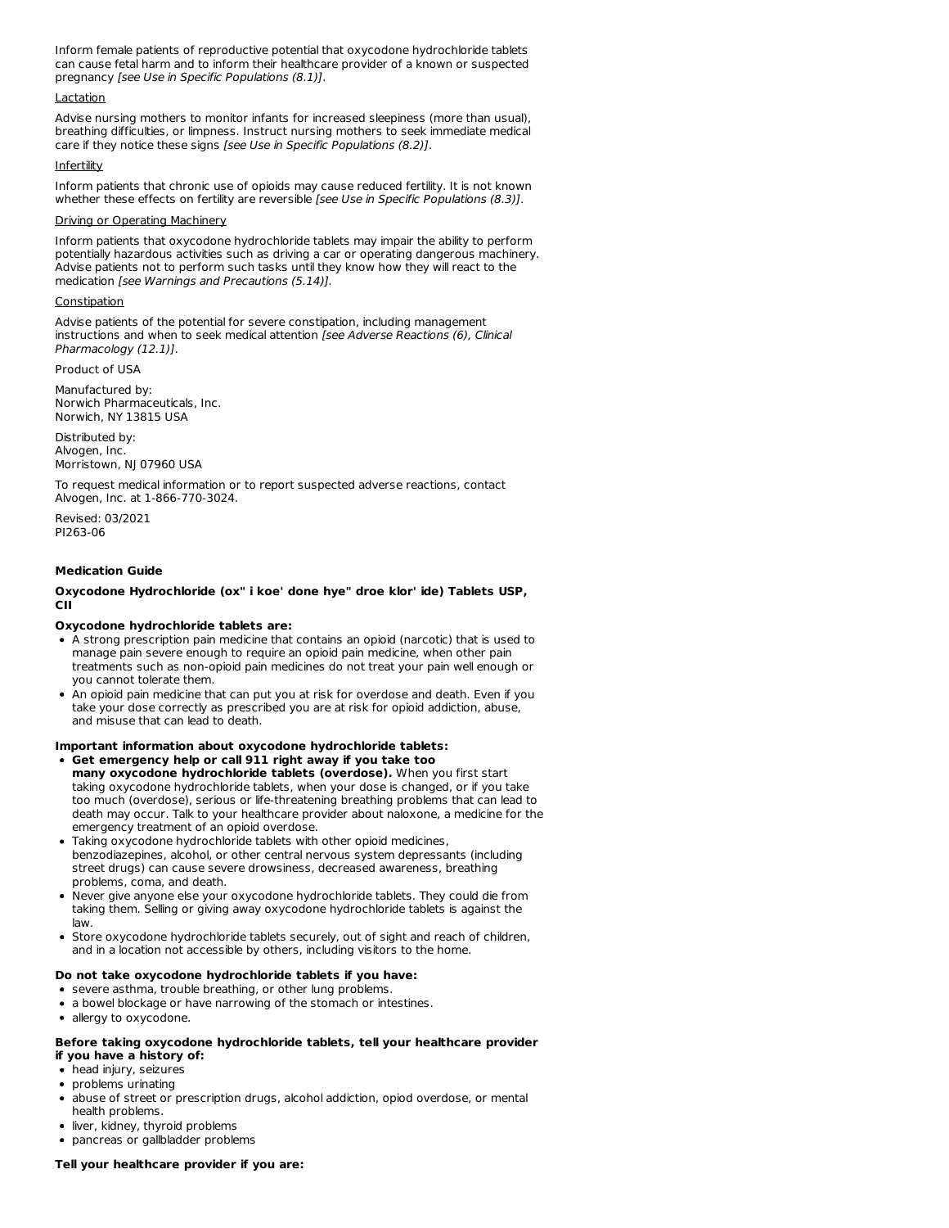Inform female patients of reproductive potential that oxycodone hydrochloride tablets can cause fetal harm and to inform their healthcare provider of a known or suspected pregnancy [see Use in Specific Populations (8.1)].

### Lactation

Advise nursing mothers to monitor infants for increased sleepiness (more than usual), breathing difficulties, or limpness. Instruct nursing mothers to seek immediate medical care if they notice these signs [see Use in Specific Populations (8.2)].

### Infertility

Inform patients that chronic use of opioids may cause reduced fertility. It is not known whether these effects on fertility are reversible [see Use in Specific Populations (8.3)].

### Driving or Operating Machinery

Inform patients that oxycodone hydrochloride tablets may impair the ability to perform potentially hazardous activities such as driving a car or operating dangerous machinery. Advise patients not to perform such tasks until they know how they will react to the medication [see Warnings and Precautions (5.14)].

### **Constipation**

Advise patients of the potential for severe constipation, including management instructions and when to seek medical attention [see Adverse Reactions (6), Clinical Pharmacology (12.1)].

Product of USA

Manufactured by: Norwich Pharmaceuticals, Inc. Norwich, NY 13815 USA

Distributed by: Alvogen, Inc. Morristown, NJ 07960 USA

To request medical information or to report suspected adverse reactions, contact Alvogen, Inc. at 1-866-770-3024.

Revised: 03/2021 PI263-06

# **Medication Guide**

# **Oxycodone Hydrochloride (ox" i koe' done hye" droe klor' ide) Tablets USP, CII**

# **Oxycodone hydrochloride tablets are:**

- A strong prescription pain medicine that contains an opioid (narcotic) that is used to manage pain severe enough to require an opioid pain medicine, when other pain treatments such as non-opioid pain medicines do not treat your pain well enough or you cannot tolerate them.
- An opioid pain medicine that can put you at risk for overdose and death. Even if you take your dose correctly as prescribed you are at risk for opioid addiction, abuse, and misuse that can lead to death.

# **Important information about oxycodone hydrochloride tablets:**

- **Get emergency help or call 911 right away if you take too many oxycodone hydrochloride tablets (overdose).** When you first start taking oxycodone hydrochloride tablets, when your dose is changed, or if you take too much (overdose), serious or life-threatening breathing problems that can lead to death may occur. Talk to your healthcare provider about naloxone, a medicine for the emergency treatment of an opioid overdose.
- Taking oxycodone hydrochloride tablets with other opioid medicines, benzodiazepines, alcohol, or other central nervous system depressants (including street drugs) can cause severe drowsiness, decreased awareness, breathing problems, coma, and death.
- Never give anyone else your oxycodone hydrochloride tablets. They could die from taking them. Selling or giving away oxycodone hydrochloride tablets is against the law.
- Store oxycodone hydrochloride tablets securely, out of sight and reach of children, and in a location not accessible by others, including visitors to the home.

# **Do not take oxycodone hydrochloride tablets if you have:**

- severe asthma, trouble breathing, or other lung problems.
- a bowel blockage or have narrowing of the stomach or intestines.
- allergy to oxycodone.

# **Before taking oxycodone hydrochloride tablets, tell your healthcare provider**

- **if you have a history of:**
- head injury, seizures
- problems urinating
- abuse of street or prescription drugs, alcohol addiction, opiod overdose, or mental health problems.
- liver, kidney, thyroid problems
- pancreas or gallbladder problems

# **Tell your healthcare provider if you are:**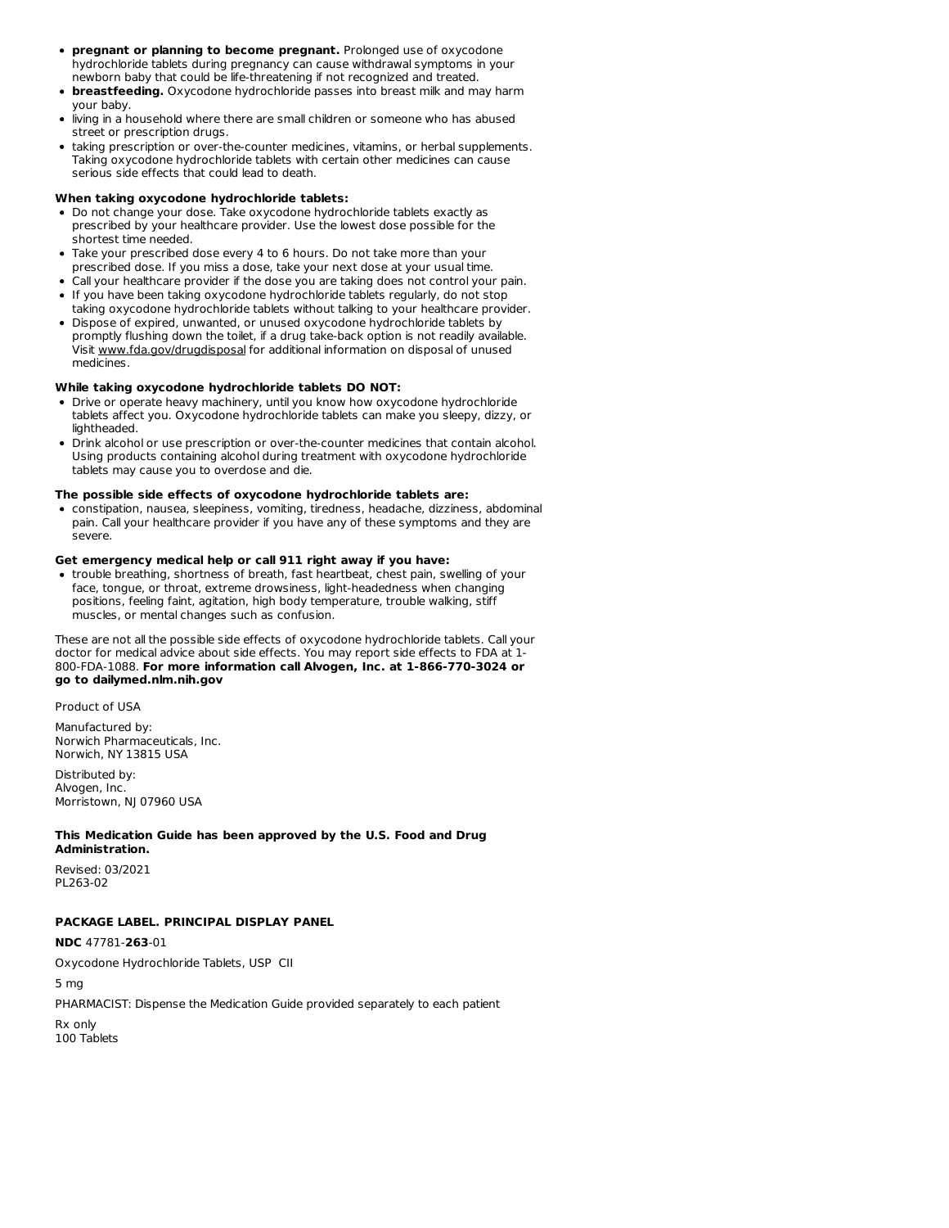- **pregnant or planning to become pregnant.** Prolonged use of oxycodone hydrochloride tablets during pregnancy can cause withdrawal symptoms in your newborn baby that could be life-threatening if not recognized and treated.
- **breastfeeding.** Oxycodone hydrochloride passes into breast milk and may harm your baby.
- living in a household where there are small children or someone who has abused street or prescription druas.
- taking prescription or over-the-counter medicines, vitamins, or herbal supplements. Taking oxycodone hydrochloride tablets with certain other medicines can cause serious side effects that could lead to death.

# **When taking oxycodone hydrochloride tablets:**

- Do not change your dose. Take oxycodone hydrochloride tablets exactly as prescribed by your healthcare provider. Use the lowest dose possible for the shortest time needed.
- Take your prescribed dose every 4 to 6 hours. Do not take more than your prescribed dose. If you miss a dose, take your next dose at your usual time.
- Call your healthcare provider if the dose you are taking does not control your pain. If you have been taking oxycodone hydrochloride tablets regularly, do not stop
- taking oxycodone hydrochloride tablets without talking to your healthcare provider. Dispose of expired, unwanted, or unused oxycodone hydrochloride tablets by
- promptly flushing down the toilet, if a drug take-back option is not readily available. Visit www.fda.gov/drugdisposal for additional information on disposal of unused medicines.

### **While taking oxycodone hydrochloride tablets DO NOT:**

- Drive or operate heavy machinery, until you know how oxycodone hydrochloride tablets affect you. Oxycodone hydrochloride tablets can make you sleepy, dizzy, or lightheaded.
- Drink alcohol or use prescription or over-the-counter medicines that contain alcohol. Using products containing alcohol during treatment with oxycodone hydrochloride tablets may cause you to overdose and die.

### **The possible side effects of oxycodone hydrochloride tablets are:**

constipation, nausea, sleepiness, vomiting, tiredness, headache, dizziness, abdominal pain. Call your healthcare provider if you have any of these symptoms and they are severe.

# **Get emergency medical help or call 911 right away if you have:**

trouble breathing, shortness of breath, fast heartbeat, chest pain, swelling of your face, tongue, or throat, extreme drowsiness, light-headedness when changing positions, feeling faint, agitation, high body temperature, trouble walking, stiff muscles, or mental changes such as confusion.

These are not all the possible side effects of oxycodone hydrochloride tablets. Call your doctor for medical advice about side effects. You may report side effects to FDA at 1- 800-FDA-1088. **For more information call Alvogen, Inc. at 1-866-770-3024 or go to dailymed.nlm.nih.gov**

Product of USA

Manufactured by: Norwich Pharmaceuticals, Inc. Norwich, NY 13815 USA

Distributed by: Alvogen, Inc. Morristown, NJ 07960 USA

**This Medication Guide has been approved by the U.S. Food and Drug Administration.**

Revised: 03/2021 PL263-02

# **PACKAGE LABEL. PRINCIPAL DISPLAY PANEL**

# **NDC** 47781-**263**-01

Oxycodone Hydrochloride Tablets, USP CII

5 mg

PHARMACIST: Dispense the Medication Guide provided separately to each patient

Rx only 100 Tablets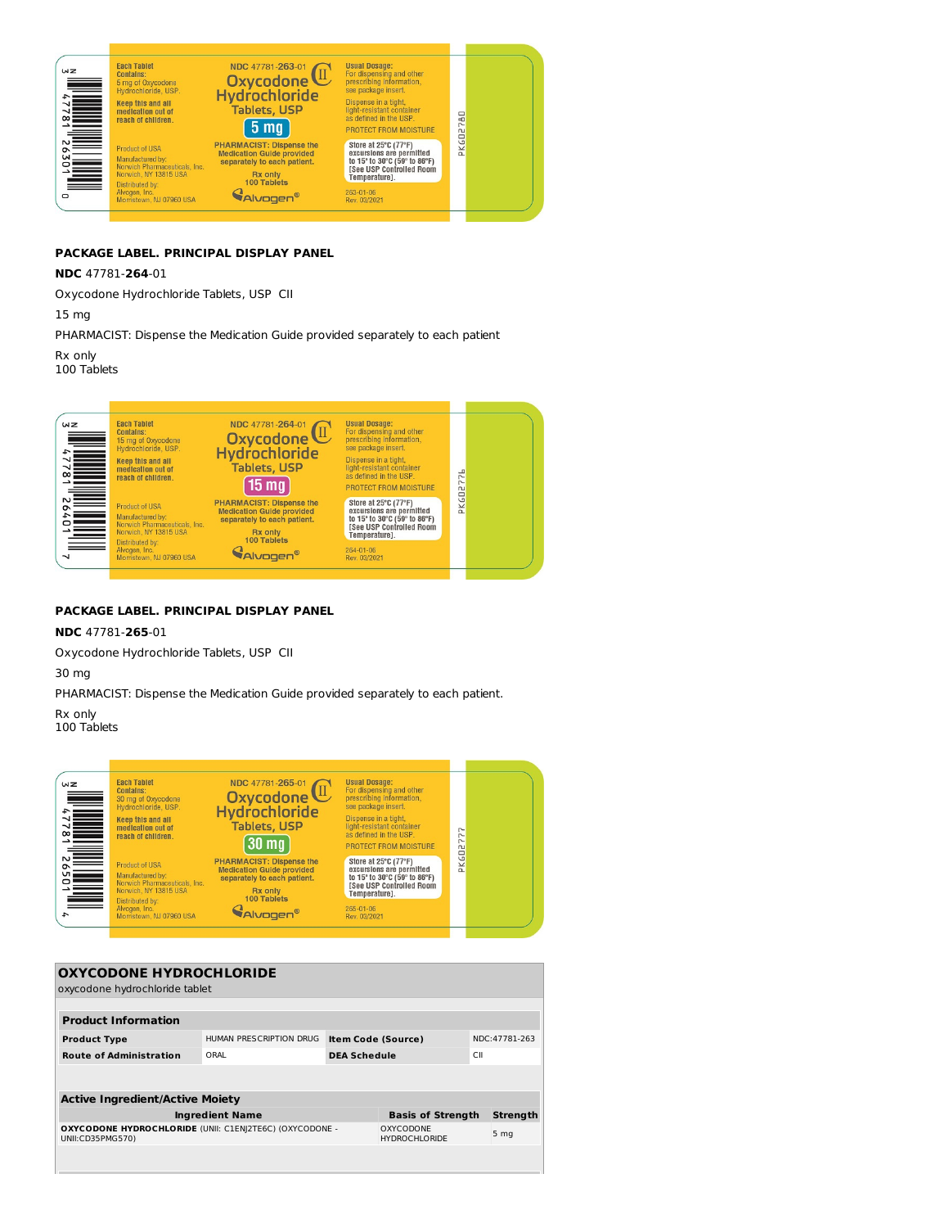

# **PACKAGE LABEL. PRINCIPAL DISPLAY PANEL**

# **NDC** 47781-**264**-01

Oxycodone Hydrochloride Tablets, USP CII

15 mg

PHARMACIST: Dispense the Medication Guide provided separately to each patient

Rx only 100 Tablets



# **PACKAGE LABEL. PRINCIPAL DISPLAY PANEL**

# **NDC** 47781-**265**-01

Oxycodone Hydrochloride Tablets, USP CII

30 mg

PHARMACIST: Dispense the Medication Guide provided separately to each patient.

Rx only 100 Tablets

Usual Dosage:<br>For dispensing and other<br>prescribing information,<br>see package insert. Each Tablet<br>Contains:<br>30 mg of Oxycodone<br>Hydrochloride, USP. NDC 47781-265-01  $WZ$ NDC 47781-265-01<br>
Oxycodone III<br>
Udrochloride F **Hydrochloride Keep this and all<br>medication out of<br>reach of children.** Dispense in a tight,<br>light-resistant container<br>as defined in the USP. Tablets, USP PKGD2777  $\infty$  $(30 \text{ mg})$ PROTECT FROM MOISTURE **PHARMACIST: Dispense the<br>Medication Guide provided<br>separately to each patient.** Store at 25°C (77°F)<br>excursions are permitted<br>to 15° to 30°C (59° to 86°F)<br>[See USP Controlled Room<br>Temperature]. 2650 Product of USA Manufactured by:<br>Norwich Pharmaceuticals, Inc<br>Norwich, NY 13815 USA Rx only<br>100 Tablets Distributed by:<br>Alvogen, Inc.<br>Morristown, NJ 07960 USA 265-01-06<br>Rev. 03/2021 **GAIvogen®** 

| <b>OXYCODONE HYDROCHLORIDE</b><br>oxycodone hydrochloride tablet            |                                          |                            |                          |  |                 |
|-----------------------------------------------------------------------------|------------------------------------------|----------------------------|--------------------------|--|-----------------|
| <b>Product Information</b>                                                  |                                          |                            |                          |  |                 |
| <b>Product Type</b>                                                         | HUMAN PRESCRIPTION DRUG                  | <b>Item Code (Source)</b>  |                          |  | NDC:47781-263   |
| <b>Route of Administration</b>                                              | ORAL                                     | CII<br><b>DEA Schedule</b> |                          |  |                 |
|                                                                             |                                          |                            |                          |  |                 |
| <b>Active Ingredient/Active Moiety</b>                                      |                                          |                            |                          |  |                 |
|                                                                             | <b>Ingredient Name</b>                   |                            | <b>Basis of Strength</b> |  | <b>Strength</b> |
| OXYCODONE HYDROCHLORIDE (UNII: C1EN 2TE6C) (OXYCODONE -<br>UNII:CD35PMG570) | <b>OXYCODONE</b><br><b>HYDROCHLORIDE</b> |                            | 5 <sub>mg</sub>          |  |                 |
|                                                                             |                                          |                            |                          |  |                 |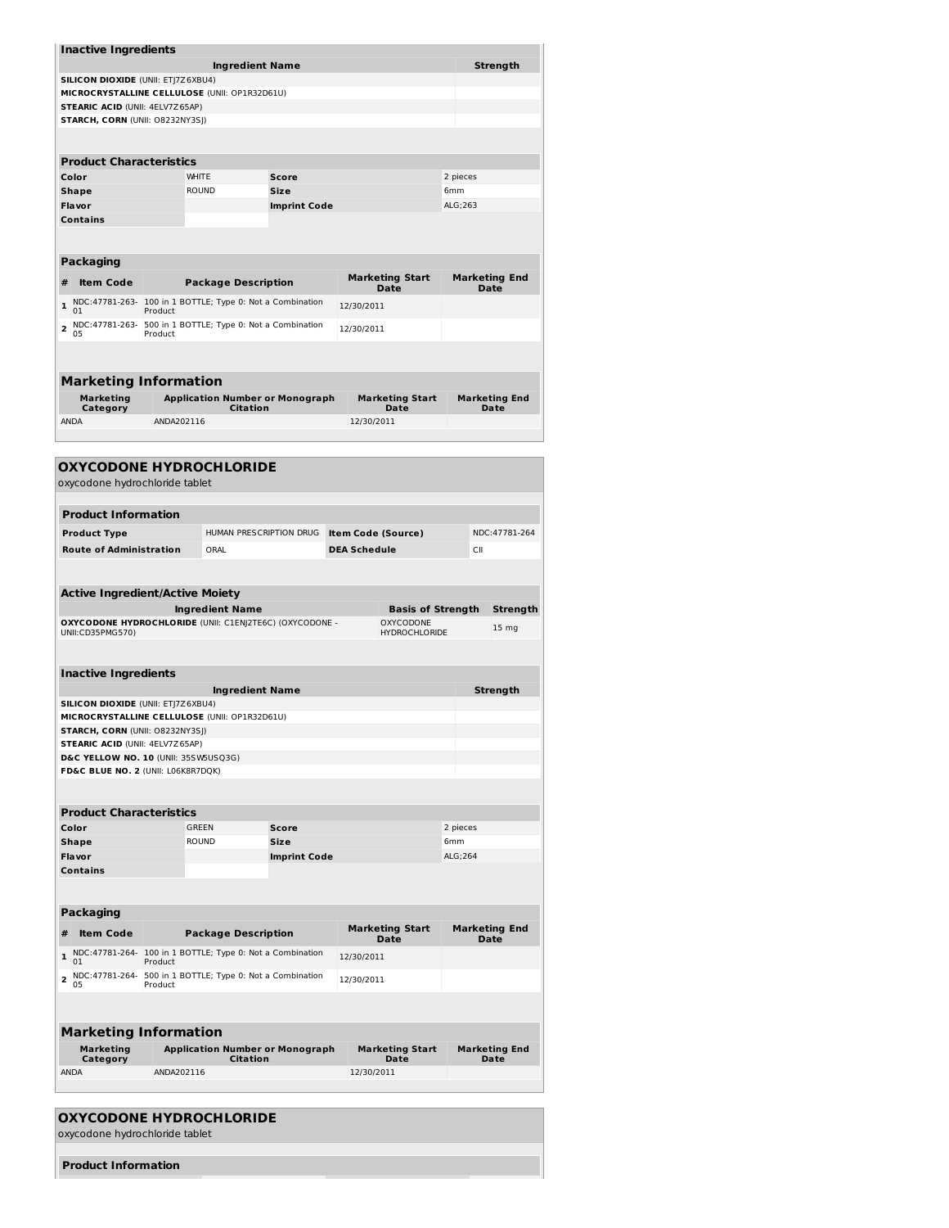| <b>Inactive Ingredients</b>                                                                                            |                                                                                    |                                            |                         |  |                     |                                          |                 |                                     |
|------------------------------------------------------------------------------------------------------------------------|------------------------------------------------------------------------------------|--------------------------------------------|-------------------------|--|---------------------|------------------------------------------|-----------------|-------------------------------------|
| SILICON DIOXIDE (UNII: ETJ7Z6XBU4)                                                                                     |                                                                                    |                                            | <b>Ingredient Name</b>  |  |                     |                                          |                 | <b>Strength</b>                     |
| MICROCRYSTALLINE CELLULOSE (UNII: OP1R32D61U)                                                                          |                                                                                    |                                            |                         |  |                     |                                          |                 |                                     |
| <b>STEARIC ACID (UNII: 4ELV7Z65AP)</b>                                                                                 |                                                                                    |                                            |                         |  |                     |                                          |                 |                                     |
| STARCH, CORN (UNII: O8232NY3SJ)                                                                                        |                                                                                    |                                            |                         |  |                     |                                          |                 |                                     |
| <b>Product Characteristics</b>                                                                                         |                                                                                    |                                            |                         |  |                     |                                          |                 |                                     |
| Color                                                                                                                  |                                                                                    | <b>WHITE</b>                               | <b>Score</b>            |  |                     |                                          | 2 pieces        |                                     |
| Shape                                                                                                                  |                                                                                    | <b>ROUND</b>                               | Size                    |  |                     |                                          | 6mm             |                                     |
| Flavor                                                                                                                 |                                                                                    |                                            | <b>Imprint Code</b>     |  |                     |                                          | ALG;263         |                                     |
| <b>Contains</b>                                                                                                        |                                                                                    |                                            |                         |  |                     |                                          |                 |                                     |
| <b>Packaging</b>                                                                                                       |                                                                                    |                                            |                         |  |                     |                                          |                 |                                     |
| #<br><b>Item Code</b>                                                                                                  |                                                                                    | <b>Package Description</b>                 |                         |  |                     | <b>Marketing Start</b><br><b>Date</b>    |                 | <b>Marketing End</b><br><b>Date</b> |
| NDC:47781-263- 100 in 1 BOTTLE; Type 0: Not a Combination<br>$\mathbf{1}$<br>01                                        |                                                                                    |                                            |                         |  | 12/30/2011          |                                          |                 |                                     |
| NDC:47781-263-                                                                                                         | Product                                                                            | 500 in 1 BOTTLE; Type 0: Not a Combination |                         |  |                     |                                          |                 |                                     |
| $\overline{2}$<br>05                                                                                                   | Product                                                                            |                                            |                         |  | 12/30/2011          |                                          |                 |                                     |
|                                                                                                                        |                                                                                    |                                            |                         |  |                     |                                          |                 |                                     |
| <b>Marketing Information</b><br><b>Marketing</b>                                                                       |                                                                                    | <b>Application Number or Monograph</b>     |                         |  |                     | <b>Marketing Start</b>                   |                 | <b>Marketing End</b>                |
| Category                                                                                                               |                                                                                    |                                            | Citation                |  |                     | Date                                     |                 | Date                                |
| ANDA                                                                                                                   | ANDA202116                                                                         |                                            |                         |  | 12/30/2011          |                                          |                 |                                     |
|                                                                                                                        |                                                                                    |                                            |                         |  |                     |                                          |                 |                                     |
| <b>OXYCODONE HYDROCHLORIDE</b><br>oxycodone hydrochloride tablet                                                       |                                                                                    |                                            |                         |  |                     |                                          |                 |                                     |
| <b>Product Information</b>                                                                                             |                                                                                    |                                            |                         |  |                     |                                          |                 |                                     |
| <b>Product Type</b>                                                                                                    |                                                                                    |                                            | HUMAN PRESCRIPTION DRUG |  |                     | Item Code (Source)                       |                 | NDC:47781-264                       |
| <b>Route of Administration</b>                                                                                         |                                                                                    | ORAL                                       |                         |  | <b>DEA Schedule</b> |                                          | СII             |                                     |
| <b>Active Ingredient/Active Moiety</b>                                                                                 |                                                                                    |                                            |                         |  |                     |                                          |                 |                                     |
|                                                                                                                        |                                                                                    | <b>Ingredient Name</b>                     |                         |  |                     | <b>Basis of Strength</b>                 |                 | Strength                            |
| OXYCODONE HYDROCHLORIDE (UNII: C1ENJ2TE6C) (OXYCODONE -<br>UNII:CD35PMG570)                                            |                                                                                    |                                            |                         |  |                     | <b>OXYCODONE</b><br><b>HYDROCHLORIDE</b> |                 | 15 mg                               |
|                                                                                                                        |                                                                                    |                                            |                         |  |                     |                                          |                 |                                     |
| <b>Inactive Ingredients</b>                                                                                            |                                                                                    |                                            |                         |  |                     |                                          |                 |                                     |
|                                                                                                                        |                                                                                    |                                            | <b>Ingredient Name</b>  |  |                     |                                          |                 | Strength                            |
| <b>SILICON DIOXIDE (UNII: ETJ7Z6XBU4)</b><br>MICROCRYSTALLINE CELLULOSE (UNII: OP1R32D61U)                             |                                                                                    |                                            |                         |  |                     |                                          |                 |                                     |
| <b>STARCH, CORN (UNII: 08232NY3SI)</b>                                                                                 |                                                                                    |                                            |                         |  |                     |                                          |                 |                                     |
| <b>STEARIC ACID (UNII: 4ELV7Z65AP)</b>                                                                                 |                                                                                    |                                            |                         |  |                     |                                          |                 |                                     |
| D&C YELLOW NO. 10 (UNII: 35SW5USQ3G)<br>FD&C BLUE NO. 2 (UNII: L06K8R7DQK)                                             |                                                                                    |                                            |                         |  |                     |                                          |                 |                                     |
|                                                                                                                        |                                                                                    |                                            |                         |  |                     |                                          |                 |                                     |
|                                                                                                                        |                                                                                    |                                            |                         |  |                     |                                          |                 |                                     |
| <b>Product Characteristics</b>                                                                                         |                                                                                    |                                            |                         |  |                     |                                          |                 |                                     |
| Color<br>Shape                                                                                                         |                                                                                    | GREEN<br><b>ROUND</b>                      | <b>Score</b><br>Size    |  |                     |                                          | 2 pieces<br>6mm |                                     |
| Flavor                                                                                                                 |                                                                                    |                                            | <b>Imprint Code</b>     |  |                     |                                          | ALG;264         |                                     |
| <b>Contains</b>                                                                                                        |                                                                                    |                                            |                         |  |                     |                                          |                 |                                     |
|                                                                                                                        |                                                                                    |                                            |                         |  |                     |                                          |                 |                                     |
| Packaging                                                                                                              |                                                                                    |                                            |                         |  |                     |                                          |                 |                                     |
| <b>Item Code</b><br>#                                                                                                  |                                                                                    | <b>Package Description</b>                 |                         |  |                     | <b>Marketing Start</b><br>Date           |                 | <b>Marketing End</b><br>Date        |
| $\mathbf{1}$<br>01                                                                                                     | NDC:47781-264- 100 in 1 BOTTLE; Type 0: Not a Combination<br>12/30/2011<br>Product |                                            |                         |  |                     |                                          |                 |                                     |
| NDC:47781-264-<br>500 in 1 BOTTLE; Type 0: Not a Combination<br>$\overline{\mathbf{2}}$<br>12/30/2011<br>05<br>Product |                                                                                    |                                            |                         |  |                     |                                          |                 |                                     |
|                                                                                                                        |                                                                                    |                                            |                         |  |                     |                                          |                 |                                     |
| <b>Marketing Information</b>                                                                                           |                                                                                    |                                            |                         |  |                     |                                          |                 |                                     |
| Marketing                                                                                                              |                                                                                    | <b>Application Number or Monograph</b>     |                         |  |                     | <b>Marketing Start</b>                   |                 | <b>Marketing End</b>                |
| Category<br>ANDA                                                                                                       | ANDA202116                                                                         |                                            | <b>Citation</b>         |  | 12/30/2011          | Date                                     |                 | Date                                |
|                                                                                                                        |                                                                                    |                                            |                         |  |                     |                                          |                 |                                     |
|                                                                                                                        |                                                                                    |                                            |                         |  |                     |                                          |                 |                                     |
| <b>OXYCODONE HYDROCHLORIDE</b>                                                                                         |                                                                                    |                                            |                         |  |                     |                                          |                 |                                     |

| <b>UXTLUDUNE HYDRUCHLURIDE</b> |
|--------------------------------|
| oxycodone hydrochloride tablet |
|                                |
| <b>Product Information</b>     |
|                                |